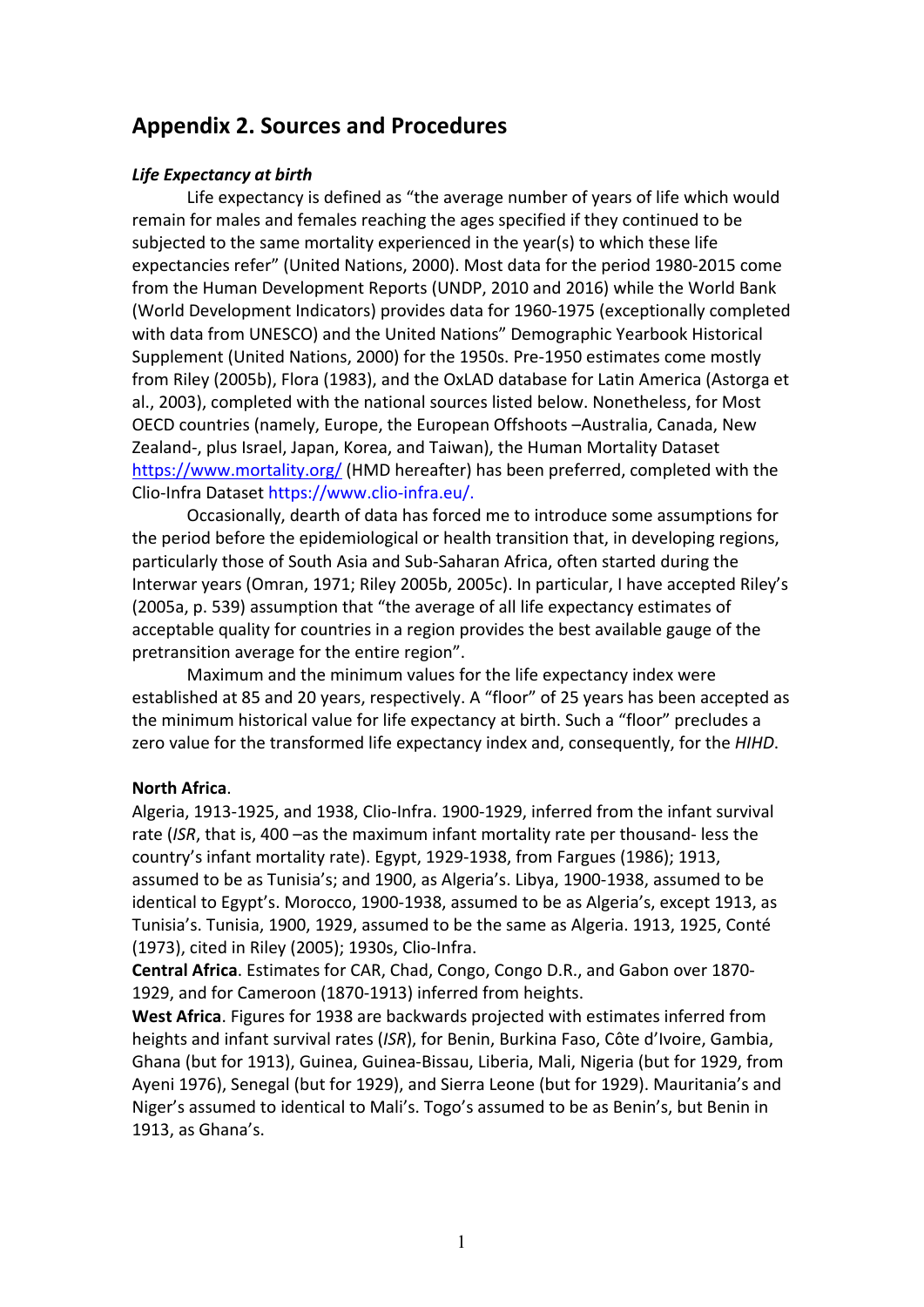# **Appendix 2. Sources and Procedures**

# *Life Expectancy at birth*

Life expectancy is defined as "the average number of years of life which would remain for males and females reaching the ages specified if they continued to be subjected to the same mortality experienced in the year(s) to which these life expectancies refer" (United Nations, 2000). Most data for the period 1980-2015 come from the Human Development Reports (UNDP, 2010 and 2016) while the World Bank (World Development Indicators) provides data for 1960-1975 (exceptionally completed with data from UNESCO) and the United Nations" Demographic Yearbook Historical Supplement (United Nations, 2000) for the 1950s. Pre-1950 estimates come mostly from Riley (2005b), Flora (1983), and the OxLAD database for Latin America (Astorga et al., 2003), completed with the national sources listed below. Nonetheless, for Most OECD countries (namely, Europe, the European Offshoots –Australia, Canada, New Zealand-, plus Israel, Japan, Korea, and Taiwan), the Human Mortality Dataset <https://www.mortality.org/> (HMD hereafter) has been preferred, completed with the Clio-Infra Dataset https://www.clio-infra.eu/.

Occasionally, dearth of data has forced me to introduce some assumptions for the period before the epidemiological or health transition that, in developing regions, particularly those of South Asia and Sub-Saharan Africa, often started during the Interwar years (Omran, 1971; Riley 2005b, 2005c). In particular, I have accepted Riley's (2005a, p. 539) assumption that "the average of all life expectancy estimates of acceptable quality for countries in a region provides the best available gauge of the pretransition average for the entire region".

Maximum and the minimum values for the life expectancy index were established at 85 and 20 years, respectively. A "floor" of 25 years has been accepted as the minimum historical value for life expectancy at birth. Such a "floor" precludes a zero value for the transformed life expectancy index and, consequently, for the *HIHD*.

### **North Africa**.

Algeria, 1913-1925, and 1938, Clio-Infra. 1900-1929, inferred from the infant survival rate (*ISR*, that is, 400 –as the maximum infant mortality rate per thousand- less the country's infant mortality rate). Egypt, 1929-1938, from Fargues (1986); 1913, assumed to be as Tunisia's; and 1900, as Algeria's. Libya, 1900-1938, assumed to be identical to Egypt's. Morocco, 1900-1938, assumed to be as Algeria's, except 1913, as Tunisia's. Tunisia, 1900, 1929, assumed to be the same as Algeria. 1913, 1925, Conté (1973), cited in Riley (2005); 1930s, Clio-Infra.

**Central Africa**. Estimates for CAR, Chad, Congo, Congo D.R., and Gabon over 1870- 1929, and for Cameroon (1870-1913) inferred from heights.

**West Africa**. Figures for 1938 are backwards projected with estimates inferred from heights and infant survival rates (*ISR*), for Benin, Burkina Faso, Côte d'Ivoire, Gambia, Ghana (but for 1913), Guinea, Guinea-Bissau, Liberia, Mali, Nigeria (but for 1929, from Ayeni 1976), Senegal (but for 1929), and Sierra Leone (but for 1929). Mauritania's and Niger's assumed to identical to Mali's. Togo's assumed to be as Benin's, but Benin in 1913, as Ghana's.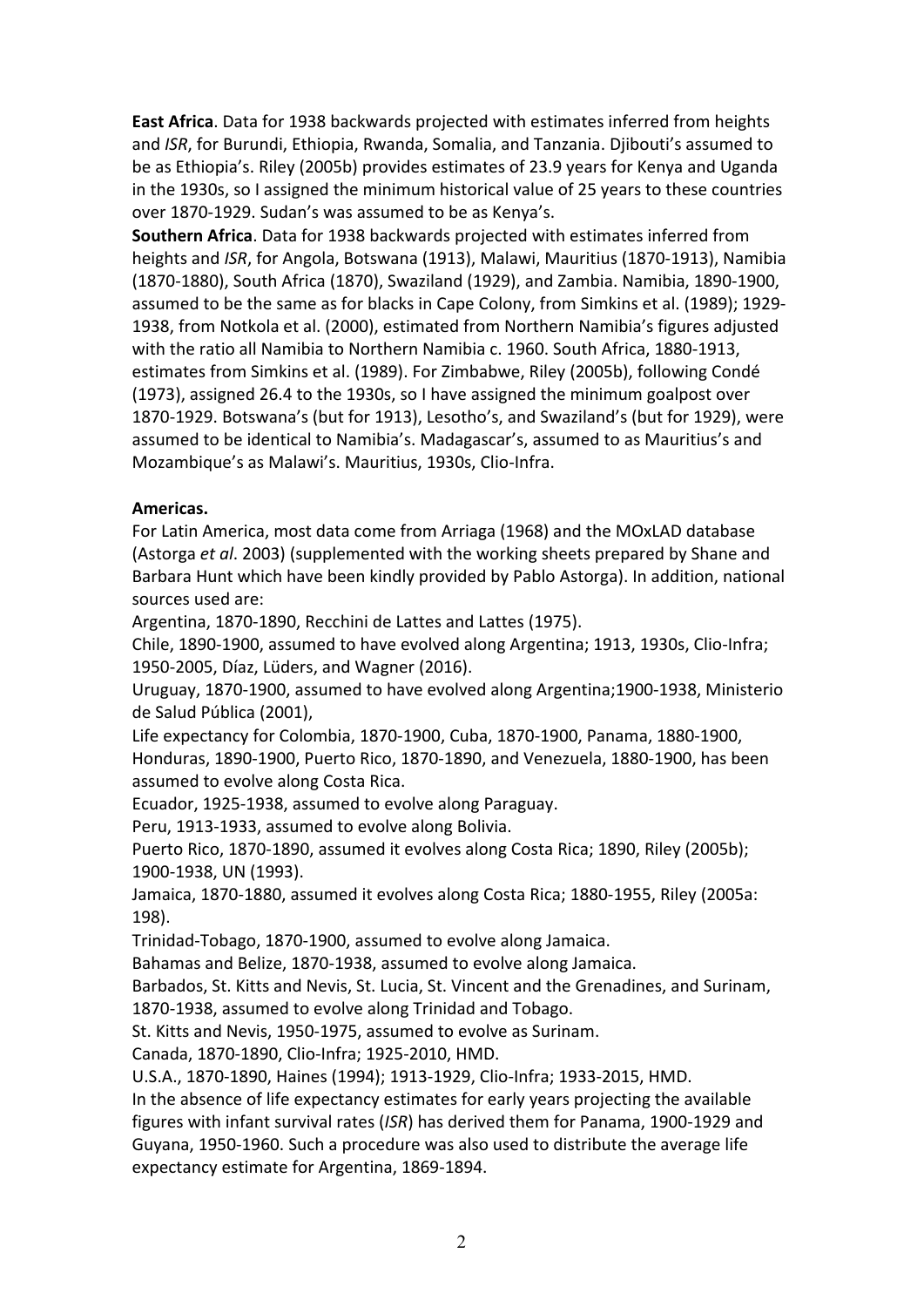**East Africa**. Data for 1938 backwards projected with estimates inferred from heights and *ISR*, for Burundi, Ethiopia, Rwanda, Somalia, and Tanzania. Djibouti's assumed to be as Ethiopia's. Riley (2005b) provides estimates of 23.9 years for Kenya and Uganda in the 1930s, so I assigned the minimum historical value of 25 years to these countries over 1870-1929. Sudan's was assumed to be as Kenya's.

**Southern Africa**. Data for 1938 backwards projected with estimates inferred from heights and *ISR*, for Angola, Botswana (1913), Malawi, Mauritius (1870-1913), Namibia (1870-1880), South Africa (1870), Swaziland (1929), and Zambia. Namibia, 1890-1900, assumed to be the same as for blacks in Cape Colony, from Simkins et al. (1989); 1929- 1938, from Notkola et al. (2000), estimated from Northern Namibia's figures adjusted with the ratio all Namibia to Northern Namibia c. 1960. South Africa, 1880-1913, estimates from Simkins et al. (1989). For Zimbabwe, Riley (2005b), following Condé (1973), assigned 26.4 to the 1930s, so I have assigned the minimum goalpost over 1870-1929. Botswana's (but for 1913), Lesotho's, and Swaziland's (but for 1929), were assumed to be identical to Namibia's. Madagascar's, assumed to as Mauritius's and Mozambique's as Malawi's. Mauritius, 1930s, Clio-Infra.

# **Americas.**

For Latin America, most data come from Arriaga (1968) and the MOxLAD database (Astorga *et al*. 2003) (supplemented with the working sheets prepared by Shane and Barbara Hunt which have been kindly provided by Pablo Astorga). In addition, national sources used are:

Argentina, 1870-1890, Recchini de Lattes and Lattes (1975).

Chile, 1890-1900, assumed to have evolved along Argentina; 1913, 1930s, Clio-Infra; 1950-2005, Díaz, Lüders, and Wagner (2016).

Uruguay, 1870-1900, assumed to have evolved along Argentina;1900-1938, Ministerio de Salud Pública (2001),

Life expectancy for Colombia, 1870-1900, Cuba, 1870-1900, Panama, 1880-1900, Honduras, 1890-1900, Puerto Rico, 1870-1890, and Venezuela, 1880-1900, has been assumed to evolve along Costa Rica.

Ecuador, 1925-1938, assumed to evolve along Paraguay.

Peru, 1913-1933, assumed to evolve along Bolivia.

Puerto Rico, 1870-1890, assumed it evolves along Costa Rica; 1890, Riley (2005b); 1900-1938, UN (1993).

Jamaica, 1870-1880, assumed it evolves along Costa Rica; 1880-1955, Riley (2005a: 198).

Trinidad-Tobago, 1870-1900, assumed to evolve along Jamaica.

Bahamas and Belize, 1870-1938, assumed to evolve along Jamaica.

Barbados, St. Kitts and Nevis, St. Lucia, St. Vincent and the Grenadines, and Surinam, 1870-1938, assumed to evolve along Trinidad and Tobago.

St. Kitts and Nevis, 1950-1975, assumed to evolve as Surinam.

Canada, 1870-1890, Clio-Infra; 1925-2010, HMD.

U.S.A., 1870-1890, Haines (1994); 1913-1929, Clio-Infra; 1933-2015, HMD.

In the absence of life expectancy estimates for early years projecting the available figures with infant survival rates (*ISR*) has derived them for Panama, 1900-1929 and Guyana, 1950-1960. Such a procedure was also used to distribute the average life expectancy estimate for Argentina, 1869-1894.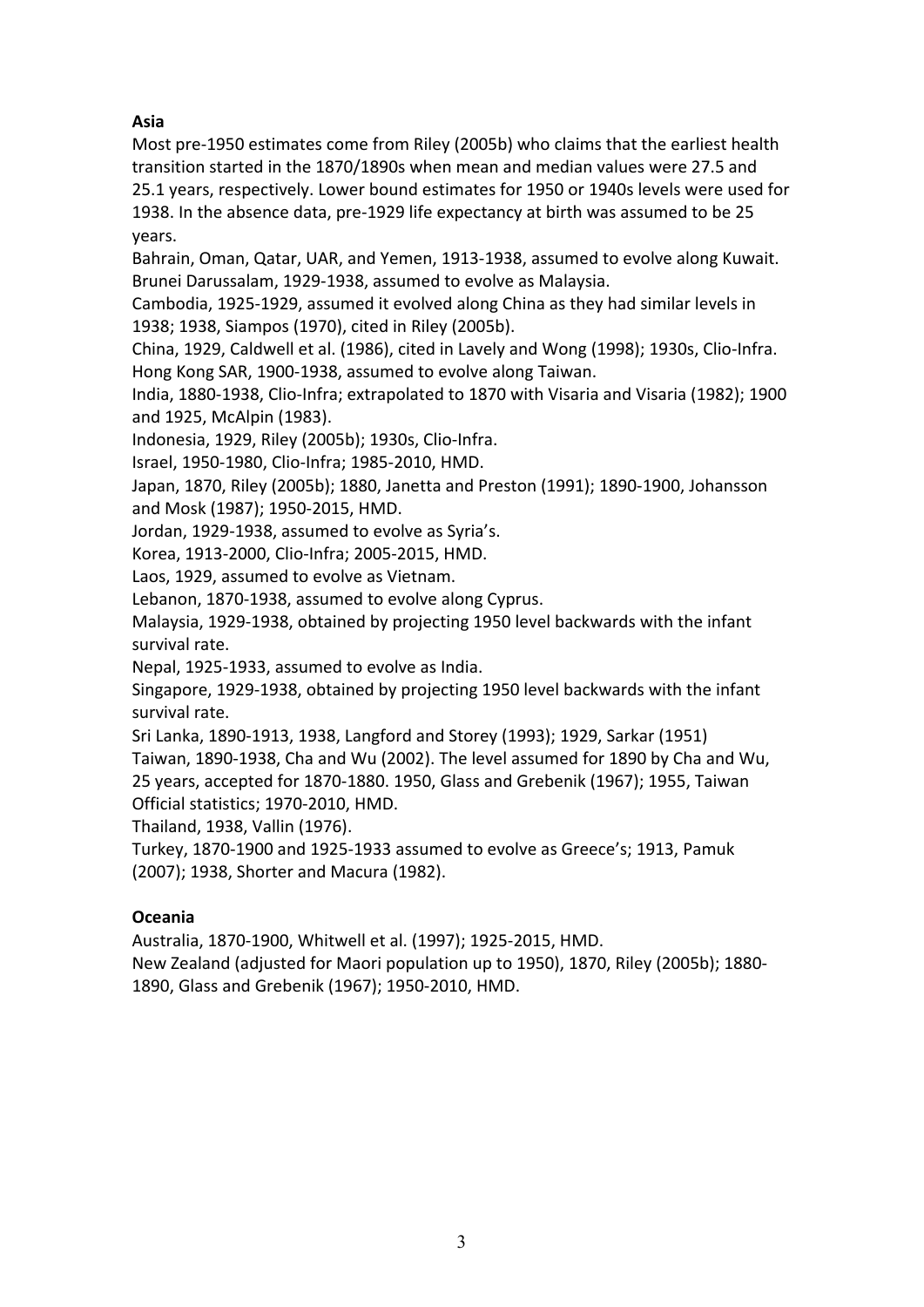# **Asia**

Most pre-1950 estimates come from Riley (2005b) who claims that the earliest health transition started in the 1870/1890s when mean and median values were 27.5 and 25.1 years, respectively. Lower bound estimates for 1950 or 1940s levels were used for 1938. In the absence data, pre-1929 life expectancy at birth was assumed to be 25 years.

Bahrain, Oman, Qatar, UAR, and Yemen, 1913-1938, assumed to evolve along Kuwait. Brunei Darussalam, 1929-1938, assumed to evolve as Malaysia.

Cambodia, 1925-1929, assumed it evolved along China as they had similar levels in 1938; 1938, Siampos (1970), cited in Riley (2005b).

China, 1929, Caldwell et al. (1986), cited in Lavely and Wong (1998); 1930s, Clio-Infra. Hong Kong SAR, 1900-1938, assumed to evolve along Taiwan.

India, 1880-1938, Clio-Infra; extrapolated to 1870 with Visaria and Visaria (1982); 1900 and 1925, McAlpin (1983).

Indonesia, 1929, Riley (2005b); 1930s, Clio-Infra.

Israel, 1950-1980, Clio-Infra; 1985-2010, HMD.

Japan, 1870, Riley (2005b); 1880, Janetta and Preston (1991); 1890-1900, Johansson and Mosk (1987); 1950-2015, HMD.

Jordan, 1929-1938, assumed to evolve as Syria's.

Korea, 1913-2000, Clio-Infra; 2005-2015, HMD.

Laos, 1929, assumed to evolve as Vietnam.

Lebanon, 1870-1938, assumed to evolve along Cyprus.

Malaysia, 1929-1938, obtained by projecting 1950 level backwards with the infant survival rate.

Nepal, 1925-1933, assumed to evolve as India.

Singapore, 1929-1938, obtained by projecting 1950 level backwards with the infant survival rate.

Sri Lanka, 1890-1913, 1938, Langford and Storey (1993); 1929, Sarkar (1951) Taiwan, 1890-1938, Cha and Wu (2002). The level assumed for 1890 by Cha and Wu, 25 years, accepted for 1870-1880. 1950, Glass and Grebenik (1967); 1955, Taiwan Official statistics; 1970-2010, HMD.

Thailand, 1938, Vallin (1976).

Turkey, 1870-1900 and 1925-1933 assumed to evolve as Greece's; 1913, Pamuk (2007); 1938, Shorter and Macura (1982).

# **Oceania**

Australia, 1870-1900, Whitwell et al. (1997); 1925-2015, HMD.

New Zealand (adjusted for Maori population up to 1950), 1870, Riley (2005b); 1880- 1890, Glass and Grebenik (1967); 1950-2010, HMD.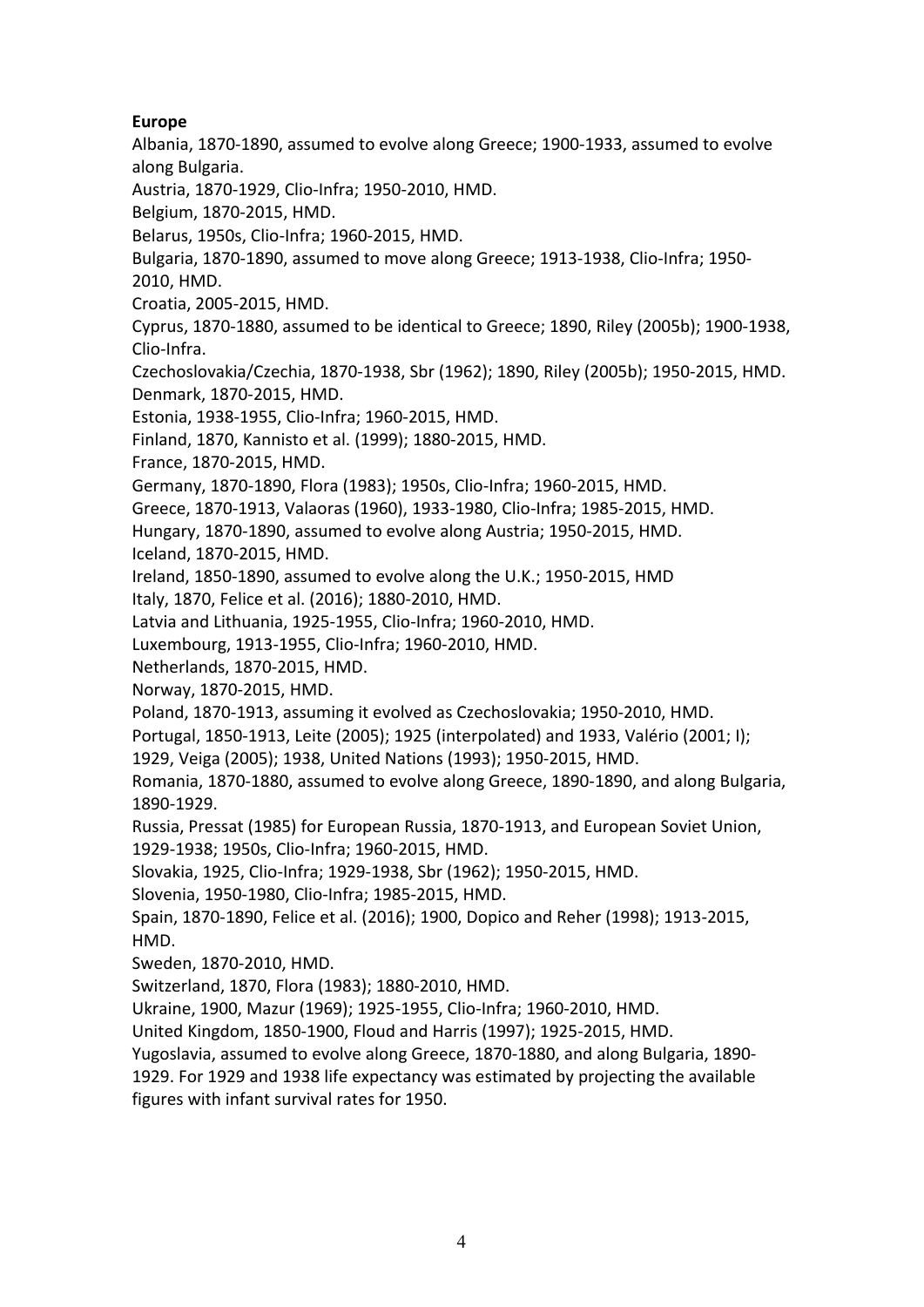# **Europe**

Albania, 1870-1890, assumed to evolve along Greece; 1900-1933, assumed to evolve along Bulgaria.

Austria, 1870-1929, Clio-Infra; 1950-2010, HMD.

Belgium, 1870-2015, HMD.

Belarus, 1950s, Clio-Infra; 1960-2015, HMD.

Bulgaria, 1870-1890, assumed to move along Greece; 1913-1938, Clio-Infra; 1950- 2010, HMD.

Croatia, 2005-2015, HMD.

Cyprus, 1870-1880, assumed to be identical to Greece; 1890, Riley (2005b); 1900-1938, Clio-Infra.

Czechoslovakia/Czechia, 1870-1938, Sbr (1962); 1890, Riley (2005b); 1950-2015, HMD. Denmark, 1870-2015, HMD.

Estonia, 1938-1955, Clio-Infra; 1960-2015, HMD.

Finland, 1870, Kannisto et al. (1999); 1880-2015, HMD.

France, 1870-2015, HMD.

Germany, 1870-1890, Flora (1983); 1950s, Clio-Infra; 1960-2015, HMD.

Greece, 1870-1913, Valaoras (1960), 1933-1980, Clio-Infra; 1985-2015, HMD.

Hungary, 1870-1890, assumed to evolve along Austria; 1950-2015, HMD.

Iceland, 1870-2015, HMD.

Ireland, 1850-1890, assumed to evolve along the U.K.; 1950-2015, HMD

Italy, 1870, Felice et al. (2016); 1880-2010, HMD.

Latvia and Lithuania, 1925-1955, Clio-Infra; 1960-2010, HMD.

Luxembourg, 1913-1955, Clio-Infra; 1960-2010, HMD.

Netherlands, 1870-2015, HMD.

Norway, 1870-2015, HMD.

Poland, 1870-1913, assuming it evolved as Czechoslovakia; 1950-2010, HMD.

Portugal, 1850-1913, Leite (2005); 1925 (interpolated) and 1933, Valério (2001; I);

1929, Veiga (2005); 1938, United Nations (1993); 1950-2015, HMD.

Romania, 1870-1880, assumed to evolve along Greece, 1890-1890, and along Bulgaria, 1890-1929.

Russia, Pressat (1985) for European Russia, 1870-1913, and European Soviet Union,

1929-1938; 1950s, Clio-Infra; 1960-2015, HMD.

Slovakia, 1925, Clio-Infra; 1929-1938, Sbr (1962); 1950-2015, HMD.

Slovenia, 1950-1980, Clio-Infra; 1985-2015, HMD.

Spain, 1870-1890, Felice et al. (2016); 1900, Dopico and Reher (1998); 1913-2015, HMD.

Sweden, 1870-2010, HMD.

Switzerland, 1870, Flora (1983); 1880-2010, HMD.

Ukraine, 1900, Mazur (1969); 1925-1955, Clio-Infra; 1960-2010, HMD.

United Kingdom, 1850-1900, Floud and Harris (1997); 1925-2015, HMD.

Yugoslavia, assumed to evolve along Greece, 1870-1880, and along Bulgaria, 1890-

1929. For 1929 and 1938 life expectancy was estimated by projecting the available figures with infant survival rates for 1950.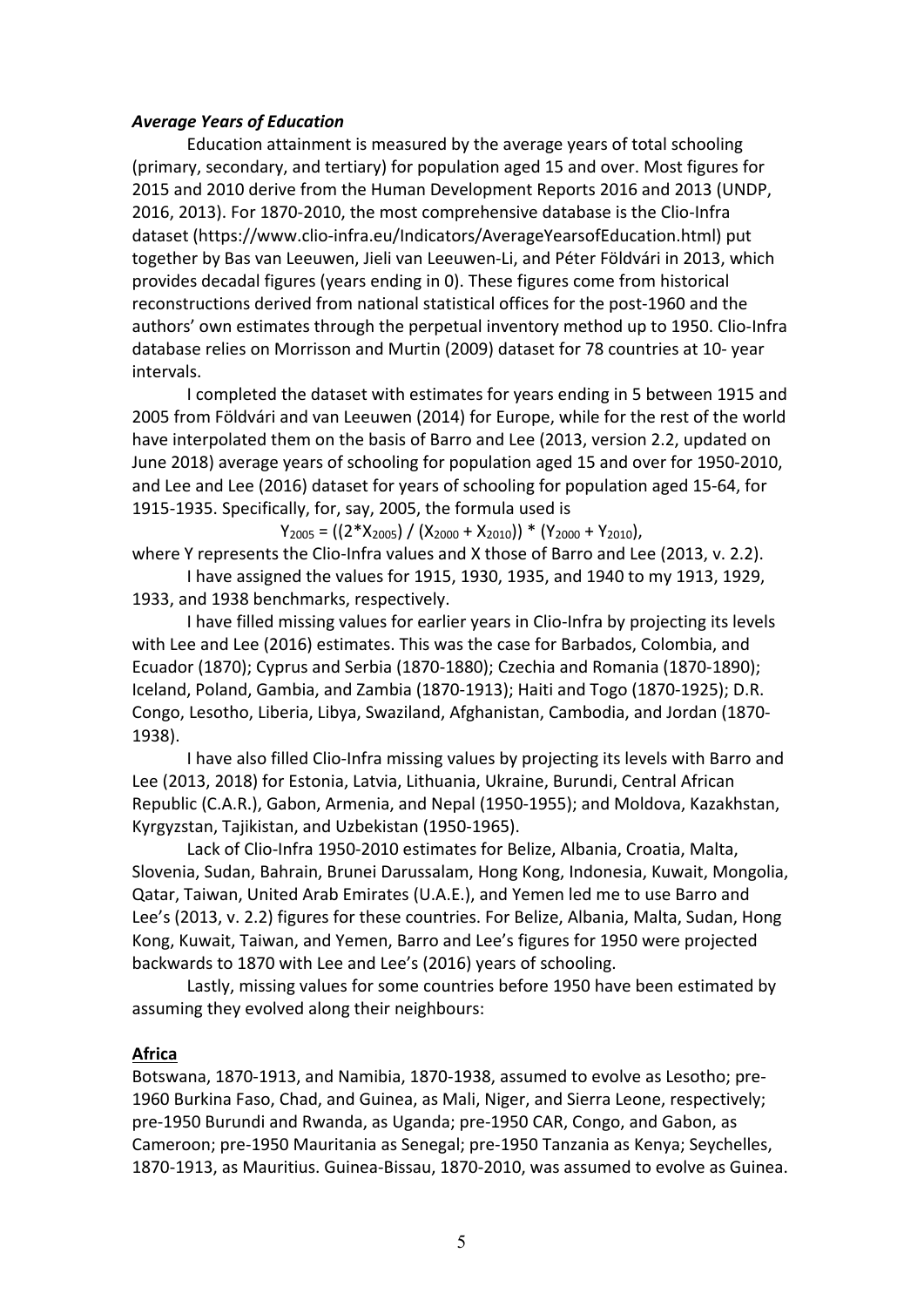### *Average Years of Education*

Education attainment is measured by the average years of total schooling (primary, secondary, and tertiary) for population aged 15 and over. Most figures for 2015 and 2010 derive from the Human Development Reports 2016 and 2013 (UNDP, 2016, 2013). For 1870-2010, the most comprehensive database is the Clio-Infra dataset (https://www.clio-infra.eu/Indicators/AverageYearsofEducation.html) put together by Bas van Leeuwen, Jieli van Leeuwen-Li, and Péter Földvári in 2013, which provides decadal figures (years ending in 0). These figures come from historical reconstructions derived from national statistical offices for the post-1960 and the authors' own estimates through the perpetual inventory method up to 1950. Clio-Infra database relies on Morrisson and Murtin (2009) dataset for 78 countries at 10- year intervals.

I completed the dataset with estimates for years ending in 5 between 1915 and 2005 from Földvári and van Leeuwen (2014) for Europe, while for the rest of the world have interpolated them on the basis of Barro and Lee (2013, version 2.2, updated on June 2018) average years of schooling for population aged 15 and over for 1950-2010, and Lee and Lee (2016) dataset for years of schooling for population aged 15-64, for 1915-1935. Specifically, for, say, 2005, the formula used is

 $Y_{2005} = ((2 * X_{2005}) / (X_{2000} + X_{2010})) * (Y_{2000} + Y_{2010}),$ 

where Y represents the Clio-Infra values and X those of Barro and Lee (2013, v. 2.2). I have assigned the values for 1915, 1930, 1935, and 1940 to my 1913, 1929,

1933, and 1938 benchmarks, respectively.

I have filled missing values for earlier years in Clio-Infra by projecting its levels with Lee and Lee (2016) estimates. This was the case for Barbados, Colombia, and Ecuador (1870); Cyprus and Serbia (1870-1880); Czechia and Romania (1870-1890); Iceland, Poland, Gambia, and Zambia (1870-1913); Haiti and Togo (1870-1925); D.R. Congo, Lesotho, Liberia, Libya, Swaziland, Afghanistan, Cambodia, and Jordan (1870- 1938).

I have also filled Clio-Infra missing values by projecting its levels with Barro and Lee (2013, 2018) for Estonia, Latvia, Lithuania, Ukraine, Burundi, Central African Republic (C.A.R.), Gabon, Armenia, and Nepal (1950-1955); and Moldova, Kazakhstan, Kyrgyzstan, Tajikistan, and Uzbekistan (1950-1965).

Lack of Clio-Infra 1950-2010 estimates for Belize, Albania, Croatia, Malta, Slovenia, Sudan, Bahrain, Brunei Darussalam, Hong Kong, Indonesia, Kuwait, Mongolia, Qatar, Taiwan, United Arab Emirates (U.A.E.), and Yemen led me to use Barro and Lee's (2013, v. 2.2) figures for these countries. For Belize, Albania, Malta, Sudan, Hong Kong, Kuwait, Taiwan, and Yemen, Barro and Lee's figures for 1950 were projected backwards to 1870 with Lee and Lee's (2016) years of schooling.

Lastly, missing values for some countries before 1950 have been estimated by assuming they evolved along their neighbours:

### **Africa**

Botswana, 1870-1913, and Namibia, 1870-1938, assumed to evolve as Lesotho; pre-1960 Burkina Faso, Chad, and Guinea, as Mali, Niger, and Sierra Leone, respectively; pre-1950 Burundi and Rwanda, as Uganda; pre-1950 CAR, Congo, and Gabon, as Cameroon; pre-1950 Mauritania as Senegal; pre-1950 Tanzania as Kenya; Seychelles, 1870-1913, as Mauritius. Guinea-Bissau, 1870-2010, was assumed to evolve as Guinea.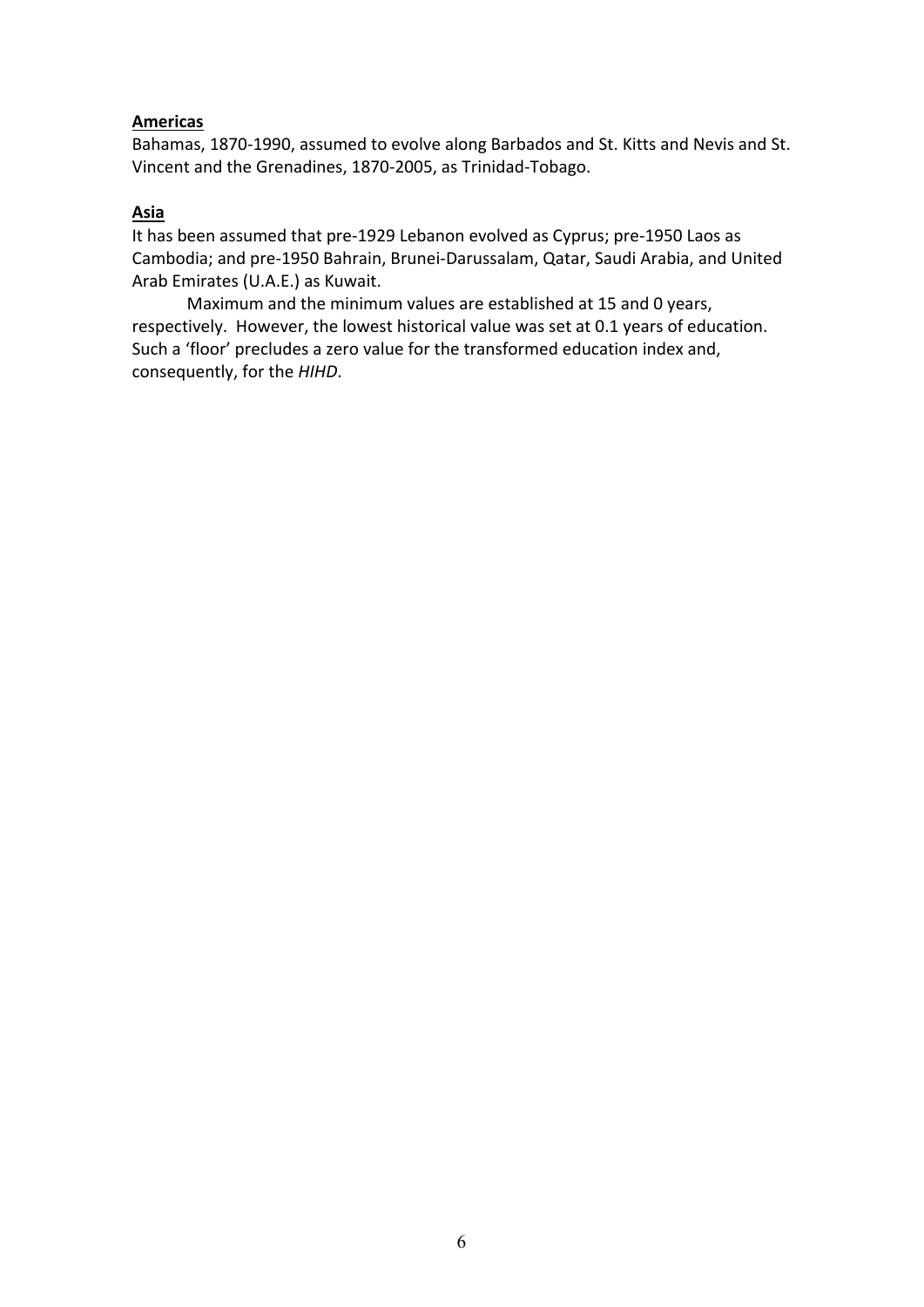### **Americas**

Bahamas, 1870-1990, assumed to evolve along Barbados and St. Kitts and Nevis and St. Vincent and the Grenadines, 1870-2005, as Trinidad-Tobago.

# **Asia**

It has been assumed that pre-1929 Lebanon evolved as Cyprus; pre-1950 Laos as Cambodia; and pre-1950 Bahrain, Brunei-Darussalam, Qatar, Saudi Arabia, and United Arab Emirates (U.A.E.) as Kuwait.

Maximum and the minimum values are established at 15 and 0 years, respectively. However, the lowest historical value was set at 0.1 years of education. Such a 'floor' precludes a zero value for the transformed education index and, consequently, for the *HIHD*.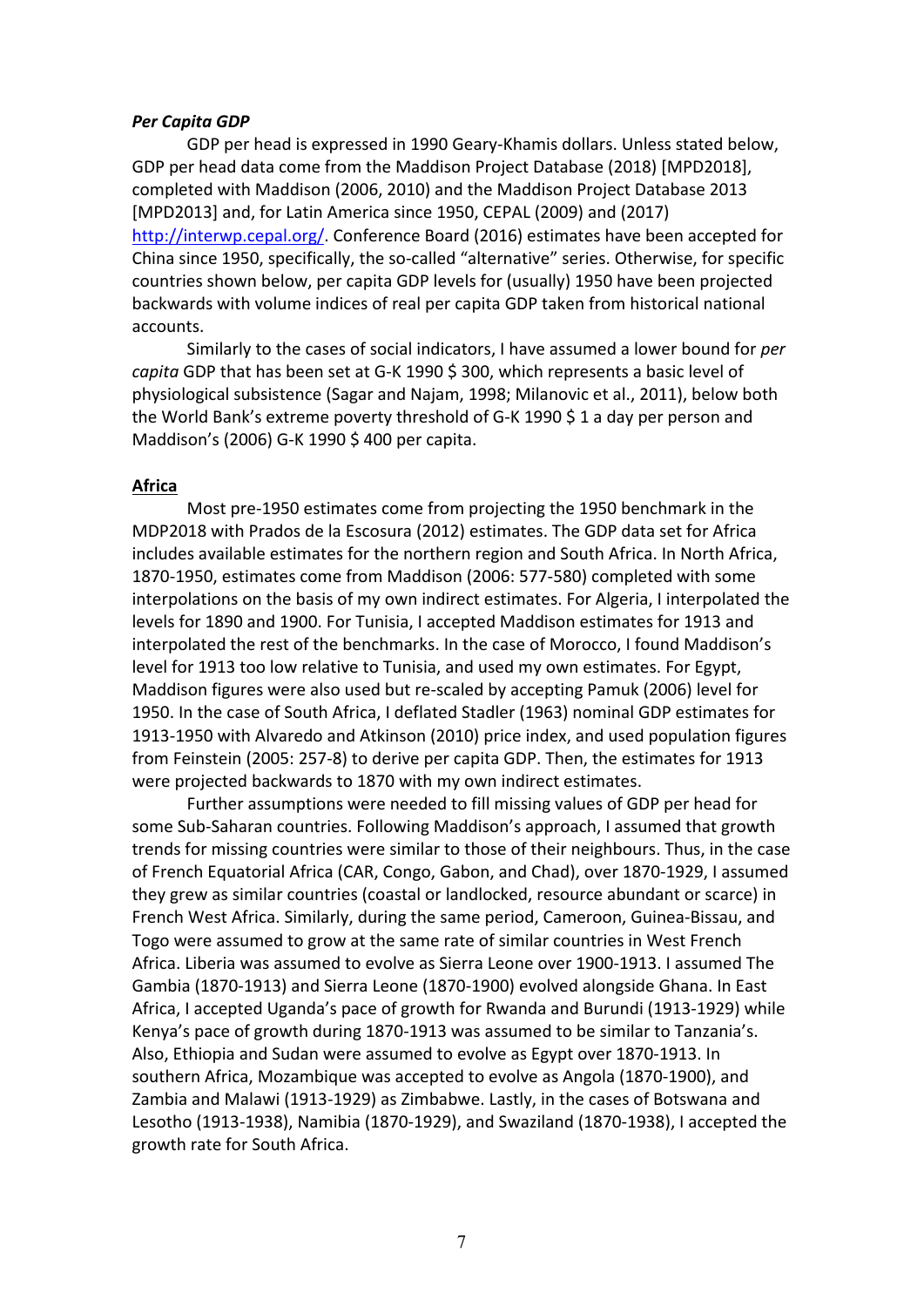#### *Per Capita GDP*

GDP per head is expressed in 1990 Geary-Khamis dollars. Unless stated below, GDP per head data come from the Maddison Project Database (2018) [MPD2018], completed with Maddison (2006, 2010) and the Maddison Project Database 2013 [MPD2013] and, for Latin America since 1950, CEPAL (2009) and (2017) [http://interwp.cepal.org/.](http://interwp.cepal.org/) Conference Board (2016) estimates have been accepted for China since 1950, specifically, the so-called "alternative" series. Otherwise, for specific countries shown below, per capita GDP levels for (usually) 1950 have been projected backwards with volume indices of real per capita GDP taken from historical national accounts.

Similarly to the cases of social indicators, I have assumed a lower bound for *per capita* GDP that has been set at G-K 1990 \$ 300, which represents a basic level of physiological subsistence (Sagar and Najam, 1998; Milanovic et al., 2011), below both the World Bank's extreme poverty threshold of G-K 1990 \$ 1 a day per person and Maddison's (2006) G-K 1990 \$ 400 per capita.

#### **Africa**

Most pre-1950 estimates come from projecting the 1950 benchmark in the MDP2018 with Prados de la Escosura (2012) estimates. The GDP data set for Africa includes available estimates for the northern region and South Africa. In North Africa, 1870-1950, estimates come from Maddison (2006: 577-580) completed with some interpolations on the basis of my own indirect estimates. For Algeria, I interpolated the levels for 1890 and 1900. For Tunisia, I accepted Maddison estimates for 1913 and interpolated the rest of the benchmarks. In the case of Morocco, I found Maddison's level for 1913 too low relative to Tunisia, and used my own estimates. For Egypt, Maddison figures were also used but re-scaled by accepting Pamuk (2006) level for 1950. In the case of South Africa, I deflated Stadler (1963) nominal GDP estimates for 1913-1950 with Alvaredo and Atkinson (2010) price index, and used population figures from Feinstein (2005: 257-8) to derive per capita GDP. Then, the estimates for 1913 were projected backwards to 1870 with my own indirect estimates.

Further assumptions were needed to fill missing values of GDP per head for some Sub-Saharan countries. Following Maddison's approach, I assumed that growth trends for missing countries were similar to those of their neighbours. Thus, in the case of French Equatorial Africa (CAR, Congo, Gabon, and Chad), over 1870-1929, I assumed they grew as similar countries (coastal or landlocked, resource abundant or scarce) in French West Africa. Similarly, during the same period, Cameroon, Guinea-Bissau, and Togo were assumed to grow at the same rate of similar countries in West French Africa. Liberia was assumed to evolve as Sierra Leone over 1900-1913. I assumed The Gambia (1870-1913) and Sierra Leone (1870-1900) evolved alongside Ghana. In East Africa, I accepted Uganda's pace of growth for Rwanda and Burundi (1913-1929) while Kenya's pace of growth during 1870-1913 was assumed to be similar to Tanzania's. Also, Ethiopia and Sudan were assumed to evolve as Egypt over 1870-1913. In southern Africa, Mozambique was accepted to evolve as Angola (1870-1900), and Zambia and Malawi (1913-1929) as Zimbabwe. Lastly, in the cases of Botswana and Lesotho (1913-1938), Namibia (1870-1929), and Swaziland (1870-1938), I accepted the growth rate for South Africa.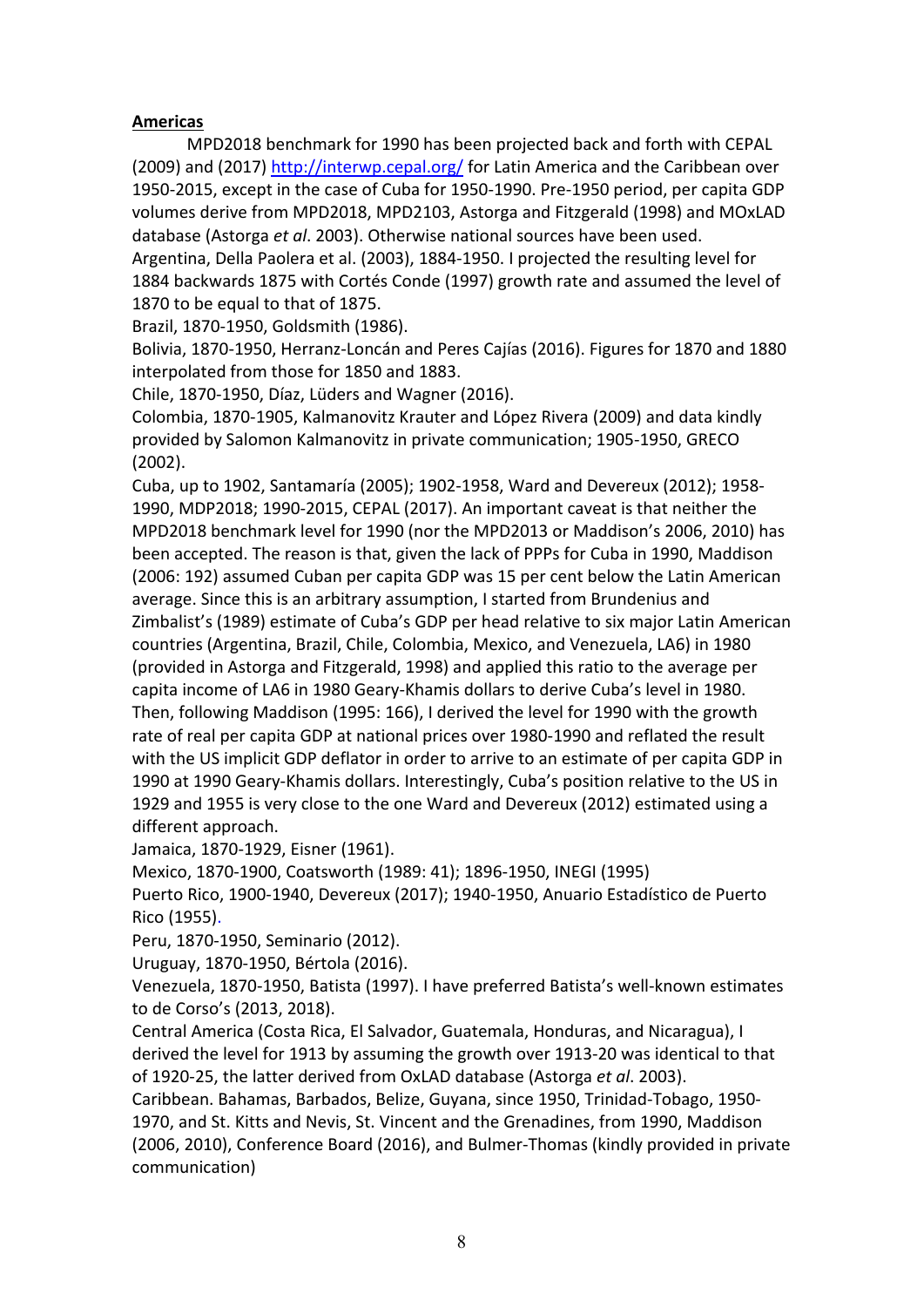# **Americas**

MPD2018 benchmark for 1990 has been projected back and forth with CEPAL (2009) and (2017) <http://interwp.cepal.org/> for Latin America and the Caribbean over 1950-2015, except in the case of Cuba for 1950-1990. Pre-1950 period, per capita GDP volumes derive from MPD2018, MPD2103, Astorga and Fitzgerald (1998) and MOxLAD database (Astorga *et al*. 2003). Otherwise national sources have been used.

Argentina, Della Paolera et al. (2003), 1884-1950. I projected the resulting level for 1884 backwards 1875 with Cortés Conde (1997) growth rate and assumed the level of 1870 to be equal to that of 1875.

Brazil, 1870-1950, Goldsmith (1986).

Bolivia, 1870-1950, Herranz-Loncán and Peres Cajías (2016). Figures for 1870 and 1880 interpolated from those for 1850 and 1883.

Chile, 1870-1950, Díaz, Lüders and Wagner (2016).

Colombia, 1870-1905, Kalmanovitz Krauter and López Rivera (2009) and data kindly provided by Salomon Kalmanovitz in private communication; 1905-1950, GRECO (2002).

Cuba, up to 1902, Santamaría (2005); 1902-1958, Ward and Devereux (2012); 1958- 1990, MDP2018; 1990-2015, CEPAL (2017). An important caveat is that neither the MPD2018 benchmark level for 1990 (nor the MPD2013 or Maddison's 2006, 2010) has been accepted. The reason is that, given the lack of PPPs for Cuba in 1990, Maddison (2006: 192) assumed Cuban per capita GDP was 15 per cent below the Latin American average. Since this is an arbitrary assumption, I started from Brundenius and Zimbalist's (1989) estimate of Cuba's GDP per head relative to six major Latin American countries (Argentina, Brazil, Chile, Colombia, Mexico, and Venezuela, LA6) in 1980 (provided in Astorga and Fitzgerald, 1998) and applied this ratio to the average per capita income of LA6 in 1980 Geary-Khamis dollars to derive Cuba's level in 1980. Then, following Maddison (1995: 166), I derived the level for 1990 with the growth rate of real per capita GDP at national prices over 1980-1990 and reflated the result with the US implicit GDP deflator in order to arrive to an estimate of per capita GDP in 1990 at 1990 Geary-Khamis dollars. Interestingly, Cuba's position relative to the US in 1929 and 1955 is very close to the one Ward and Devereux (2012) estimated using a different approach.

Jamaica, 1870-1929, Eisner (1961).

Mexico, 1870-1900, Coatsworth (1989: 41); 1896-1950, INEGI (1995)

Puerto Rico, 1900-1940, Devereux (2017); 1940-1950, Anuario Estadístico de Puerto Rico (1955).

Peru, 1870-1950, Seminario (2012).

Uruguay, 1870-1950, Bértola (2016).

Venezuela, 1870-1950, Batista (1997). I have preferred Batista's well-known estimates to de Corso's (2013, 2018).

Central America (Costa Rica, El Salvador, Guatemala, Honduras, and Nicaragua), I derived the level for 1913 by assuming the growth over 1913-20 was identical to that of 1920-25, the latter derived from OxLAD database (Astorga *et al*. 2003).

Caribbean. Bahamas, Barbados, Belize, Guyana, since 1950, Trinidad-Tobago, 1950- 1970, and St. Kitts and Nevis, St. Vincent and the Grenadines, from 1990, Maddison (2006, 2010), Conference Board (2016), and Bulmer-Thomas (kindly provided in private communication)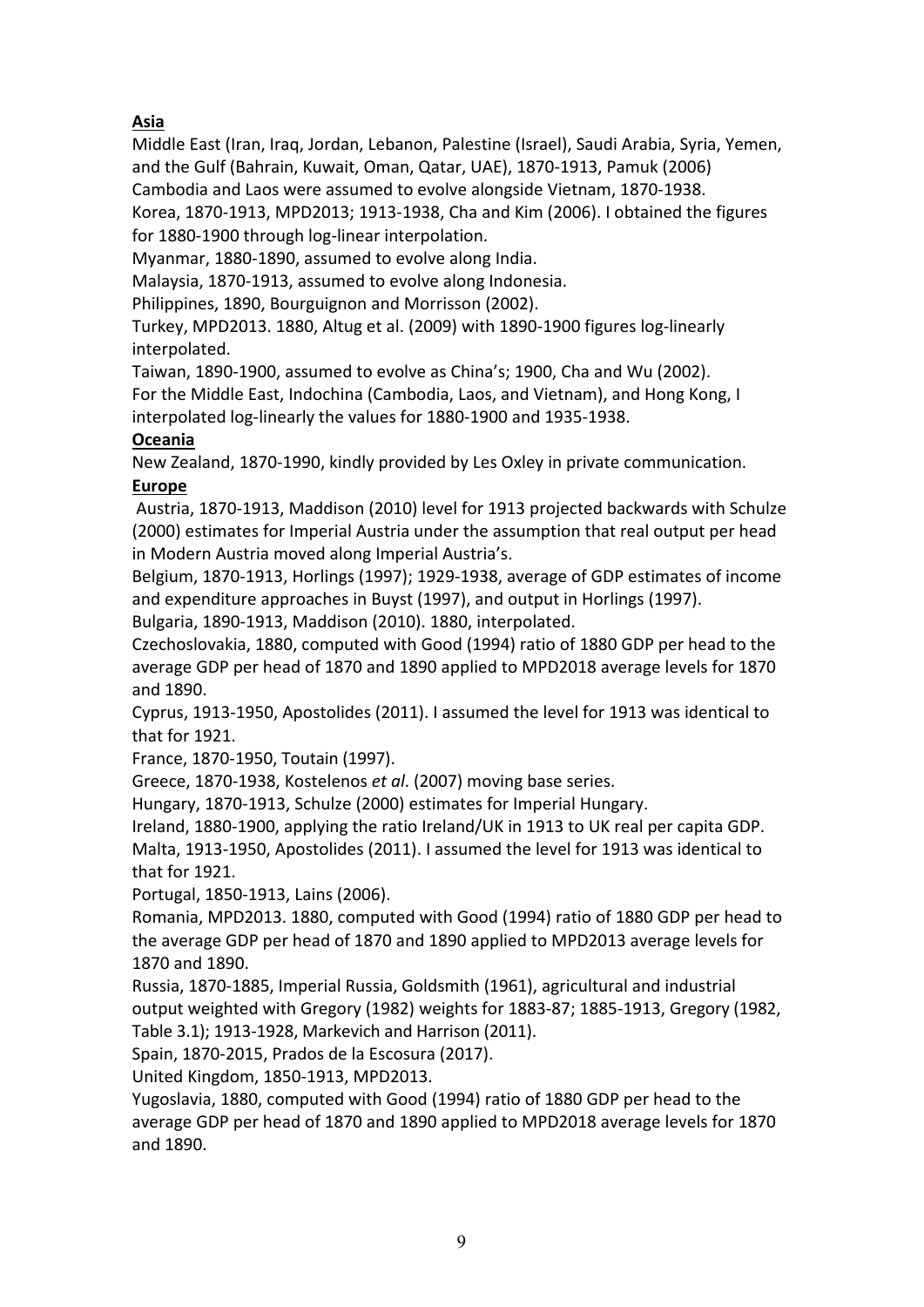# **Asia**

Middle East (Iran, Iraq, Jordan, Lebanon, Palestine (Israel), Saudi Arabia, Syria, Yemen, and the Gulf (Bahrain, Kuwait, Oman, Qatar, UAE), 1870-1913, Pamuk (2006) Cambodia and Laos were assumed to evolve alongside Vietnam, 1870-1938.

Korea, 1870-1913, MPD2013; 1913-1938, Cha and Kim (2006). I obtained the figures for 1880-1900 through log-linear interpolation.

Myanmar, 1880-1890, assumed to evolve along India.

Malaysia, 1870-1913, assumed to evolve along Indonesia.

Philippines, 1890, Bourguignon and Morrisson (2002).

Turkey, MPD2013. 1880, Altug et al. (2009) with 1890-1900 figures log-linearly interpolated.

Taiwan, 1890-1900, assumed to evolve as China's; 1900, Cha and Wu (2002).

For the Middle East, Indochina (Cambodia, Laos, and Vietnam), and Hong Kong, I interpolated log-linearly the values for 1880-1900 and 1935-1938.

# **Oceania**

New Zealand, 1870-1990, kindly provided by Les Oxley in private communication. **Europe**

Austria, 1870-1913, Maddison (2010) level for 1913 projected backwards with Schulze (2000) estimates for Imperial Austria under the assumption that real output per head in Modern Austria moved along Imperial Austria's.

Belgium, 1870-1913, Horlings (1997); 1929-1938, average of GDP estimates of income and expenditure approaches in Buyst (1997), and output in Horlings (1997).

Bulgaria, 1890-1913, Maddison (2010). 1880, interpolated.

Czechoslovakia, 1880, computed with Good (1994) ratio of 1880 GDP per head to the average GDP per head of 1870 and 1890 applied to MPD2018 average levels for 1870 and 1890.

Cyprus, 1913-1950, Apostolides (2011). I assumed the level for 1913 was identical to that for 1921.

France, 1870-1950, Toutain (1997).

Greece, 1870-1938, Kostelenos *et al*. (2007) moving base series.

Hungary, 1870-1913, Schulze (2000) estimates for Imperial Hungary.

Ireland, 1880-1900, applying the ratio Ireland/UK in 1913 to UK real per capita GDP. Malta, 1913-1950, Apostolides (2011). I assumed the level for 1913 was identical to that for 1921.

Portugal, 1850-1913, Lains (2006).

Romania, MPD2013. 1880, computed with Good (1994) ratio of 1880 GDP per head to the average GDP per head of 1870 and 1890 applied to MPD2013 average levels for 1870 and 1890.

Russia, 1870-1885, Imperial Russia, Goldsmith (1961), agricultural and industrial output weighted with Gregory (1982) weights for 1883-87; 1885-1913, Gregory (1982, Table 3.1); 1913-1928, Markevich and Harrison (2011).

Spain, 1870-2015, Prados de la Escosura (2017).

United Kingdom, 1850-1913, MPD2013.

Yugoslavia, 1880, computed with Good (1994) ratio of 1880 GDP per head to the average GDP per head of 1870 and 1890 applied to MPD2018 average levels for 1870 and 1890.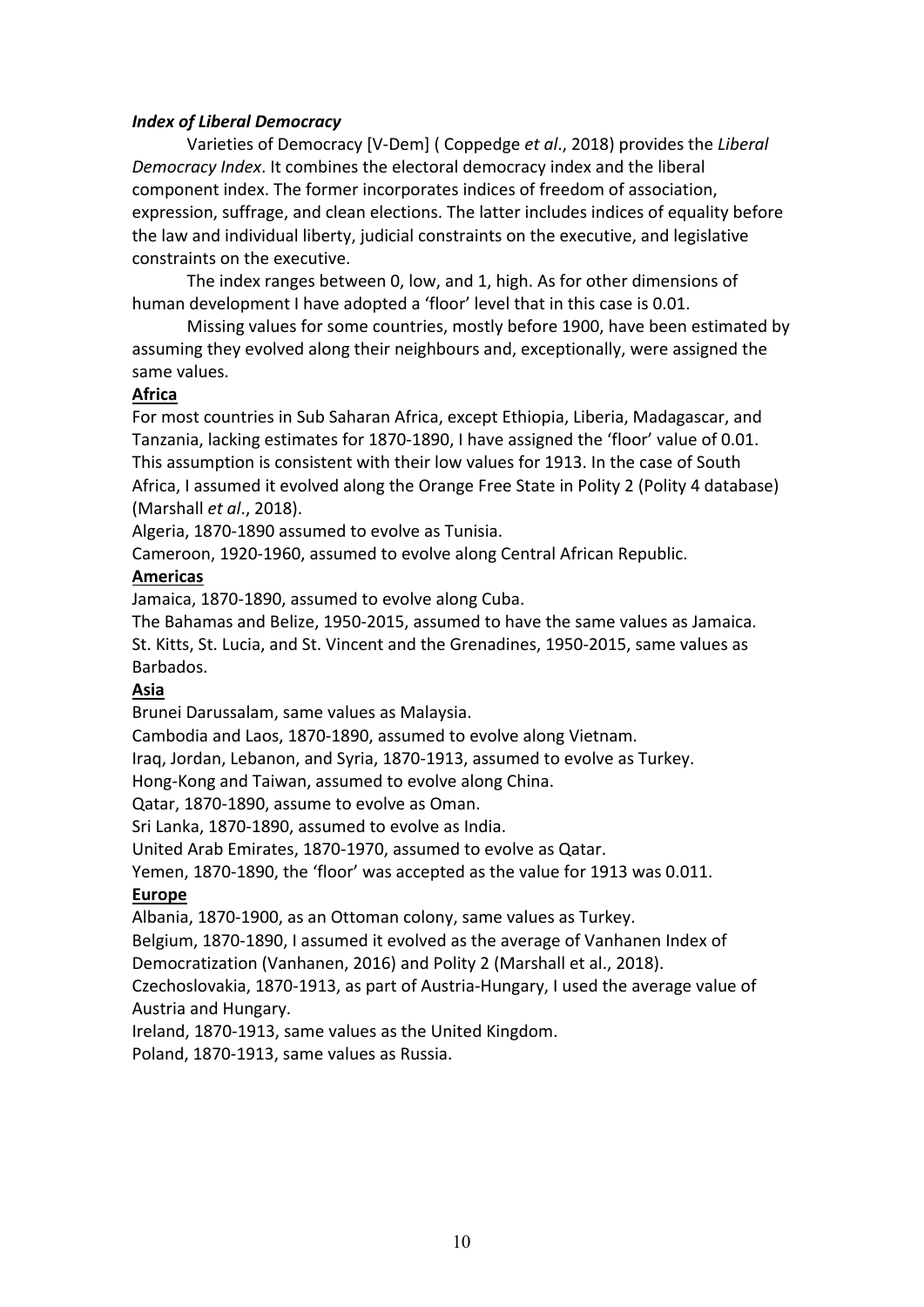## *Index of Liberal Democracy*

Varieties of Democracy [V-Dem] ( Coppedge *et al*., 2018) provides the *Liberal Democracy Index*. It combines the electoral democracy index and the liberal component index. The former incorporates indices of freedom of association, expression, suffrage, and clean elections. The latter includes indices of equality before the law and individual liberty, judicial constraints on the executive, and legislative constraints on the executive.

The index ranges between 0, low, and 1, high. As for other dimensions of human development I have adopted a 'floor' level that in this case is 0.01.

Missing values for some countries, mostly before 1900, have been estimated by assuming they evolved along their neighbours and, exceptionally, were assigned the same values.

# **Africa**

For most countries in Sub Saharan Africa, except Ethiopia, Liberia, Madagascar, and Tanzania, lacking estimates for 1870-1890, I have assigned the 'floor' value of 0.01. This assumption is consistent with their low values for 1913. In the case of South Africa, I assumed it evolved along the Orange Free State in Polity 2 (Polity 4 database) (Marshall *et al*., 2018).

Algeria, 1870-1890 assumed to evolve as Tunisia.

Cameroon, 1920-1960, assumed to evolve along Central African Republic.

# **Americas**

Jamaica, 1870-1890, assumed to evolve along Cuba.

The Bahamas and Belize, 1950-2015, assumed to have the same values as Jamaica. St. Kitts, St. Lucia, and St. Vincent and the Grenadines, 1950-2015, same values as Barbados.

# **Asia**

Brunei Darussalam, same values as Malaysia.

Cambodia and Laos, 1870-1890, assumed to evolve along Vietnam.

Iraq, Jordan, Lebanon, and Syria, 1870-1913, assumed to evolve as Turkey.

Hong-Kong and Taiwan, assumed to evolve along China.

Qatar, 1870-1890, assume to evolve as Oman.

Sri Lanka, 1870-1890, assumed to evolve as India.

United Arab Emirates, 1870-1970, assumed to evolve as Qatar.

Yemen, 1870-1890, the 'floor' was accepted as the value for 1913 was 0.011.

# **Europe**

Albania, 1870-1900, as an Ottoman colony, same values as Turkey.

Belgium, 1870-1890, I assumed it evolved as the average of Vanhanen Index of Democratization (Vanhanen, 2016) and Polity 2 (Marshall et al., 2018).

Czechoslovakia, 1870-1913, as part of Austria-Hungary, I used the average value of Austria and Hungary.

Ireland, 1870-1913, same values as the United Kingdom.

Poland, 1870-1913, same values as Russia.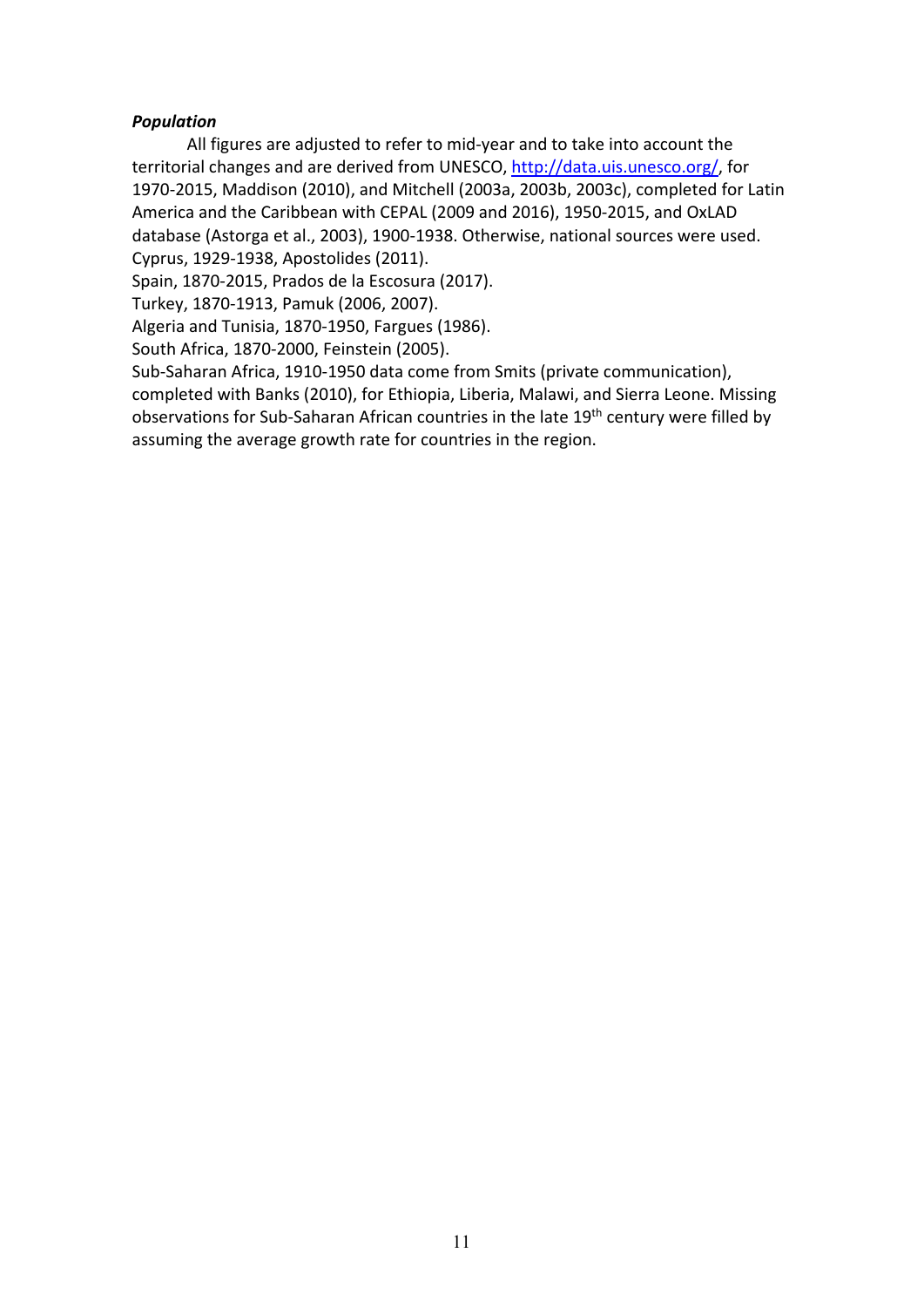# *Population*

All figures are adjusted to refer to mid-year and to take into account the territorial changes and are derived from UNESCO, [http://data.uis.unesco.org/,](http://data.uis.unesco.org/) for 1970-2015, Maddison (2010), and Mitchell (2003a, 2003b, 2003c), completed for Latin America and the Caribbean with CEPAL (2009 and 2016), 1950-2015, and OxLAD database (Astorga et al., 2003), 1900-1938. Otherwise, national sources were used. Cyprus, 1929-1938, Apostolides (2011).

Spain, 1870-2015, Prados de la Escosura (2017).

Turkey, 1870-1913, Pamuk (2006, 2007).

Algeria and Tunisia, 1870-1950, Fargues (1986).

South Africa, 1870-2000, Feinstein (2005).

Sub-Saharan Africa, 1910-1950 data come from Smits (private communication), completed with Banks (2010), for Ethiopia, Liberia, Malawi, and Sierra Leone. Missing observations for Sub-Saharan African countries in the late 19<sup>th</sup> century were filled by assuming the average growth rate for countries in the region.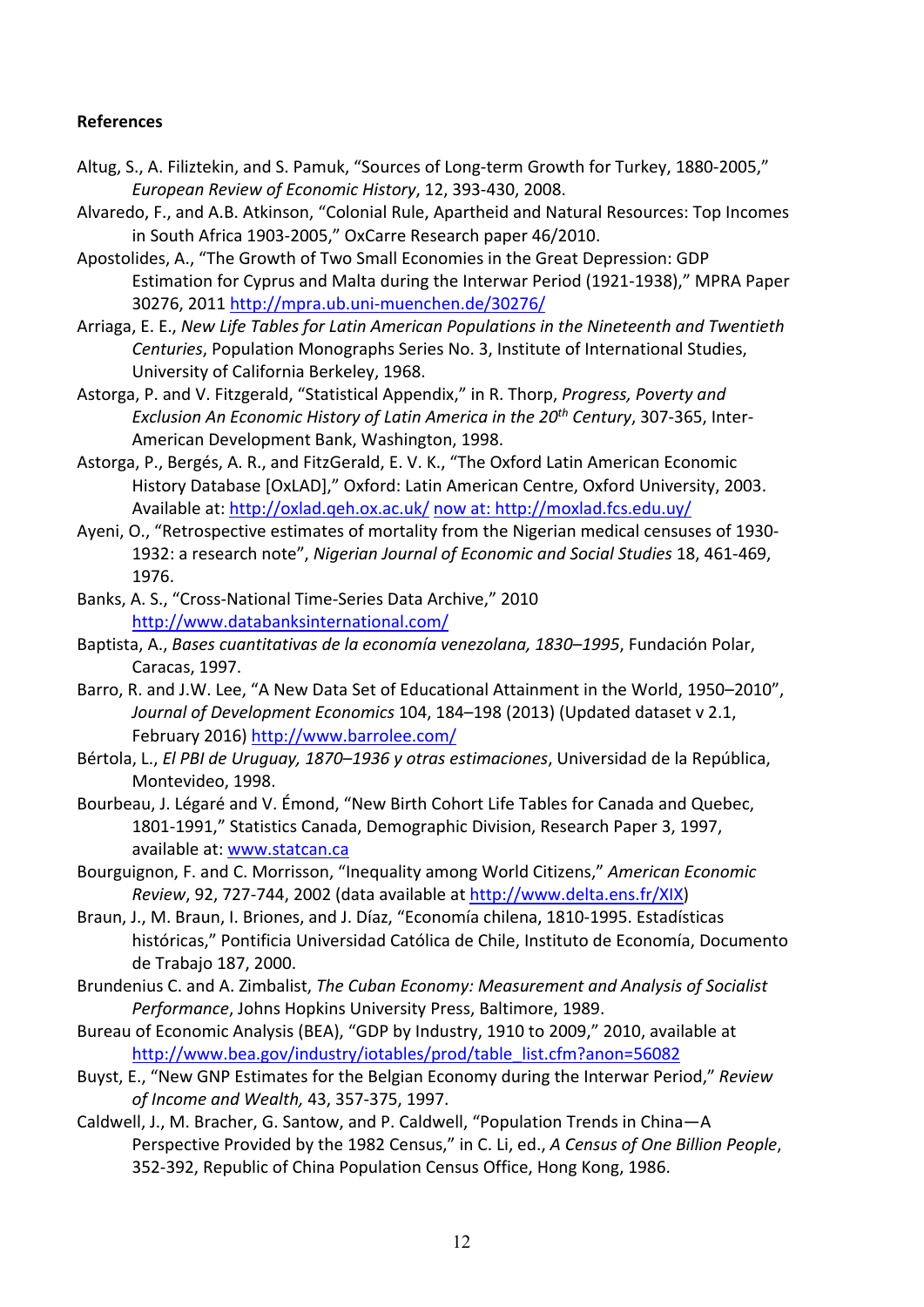### **References**

- Altug, S., A. Filiztekin, and S. Pamuk, "Sources of Long-term Growth for Turkey, 1880-2005," *European Review of Economic History*, 12, 393-430, 2008.
- Alvaredo, F., and A.B. Atkinson, "Colonial Rule, Apartheid and Natural Resources: Top Incomes in South Africa 1903-2005," OxCarre Research paper 46/2010.
- Apostolides, A., "The Growth of Two Small Economies in the Great Depression: GDP Estimation for Cyprus and Malta during the Interwar Period (1921-1938)," MPRA Paper 30276, 2011<http://mpra.ub.uni-muenchen.de/30276/>
- Arriaga, E. E., *New Life Tables for Latin American Populations in the Nineteenth and Twentieth Centuries*, Population Monographs Series No. 3, Institute of International Studies, University of California Berkeley, 1968.
- Astorga, P. and V. Fitzgerald, "Statistical Appendix," in R. Thorp, *Progress, Poverty and Exclusion An Economic History of Latin America in the 20th Century*, 307-365, Inter-American Development Bank, Washington, 1998.
- Astorga, P., Bergés, A. R., and FitzGerald, E. V. K., "The Oxford Latin American Economic History Database [OxLAD]," Oxford: Latin American Centre, Oxford University, 2003. Available at:<http://oxlad.qeh.ox.ac.uk/> now at:<http://moxlad.fcs.edu.uy/>
- Ayeni, O., "Retrospective estimates of mortality from the Nigerian medical censuses of 1930- 1932: a research note", *Nigerian Journal of Economic and Social Studies* 18, 461-469, 1976.
- Banks, A. S., "Cross-National Time-Series Data Archive," 2010 <http://www.databanksinternational.com/>
- Baptista, A., *Bases cuantitativas de la economía venezolana, 1830–1995*, Fundación Polar, Caracas, 1997.
- Barro, R. and J.W. Lee, "A New Data Set of Educational Attainment in the World, 1950–2010", *Journal of Development Economics* 104, 184–198 (2013) (Updated dataset v 2.1, February 2016)<http://www.barrolee.com/>
- Bértola, L., *El PBI de Uruguay, 1870–1936 y otras estimaciones*, Universidad de la República, Montevideo, 1998.
- Bourbeau, J. Légaré and V. Émond, "New Birth Cohort Life Tables for Canada and Quebec, 1801-1991," Statistics Canada, Demographic Division, Research Paper 3, 1997, available at[: www.statcan.ca](http://www.statcan.ca/)
- Bourguignon, F. and C. Morrisson, "Inequality among World Citizens," *American Economic Review*, 92, 727-744, 2002 (data available at [http://www.delta.ens.fr/XIX\)](http://www.delta.ens.fr/XIX)
- Braun, J., M. Braun, I. Briones, and J. Díaz, "Economía chilena, 1810-1995. Estadísticas históricas," Pontificia Universidad Católica de Chile, Instituto de Economía, Documento de Trabajo 187, 2000.
- Brundenius C. and A. Zimbalist, *The Cuban Economy: Measurement and Analysis of Socialist Performance*, Johns Hopkins University Press, Baltimore, 1989.
- Bureau of Economic Analysis (BEA), "GDP by Industry, 1910 to 2009," 2010, available at [http://www.bea.gov/industry/iotables/prod/table\\_list.cfm?anon=56082](http://www.bea.gov/industry/iotables/prod/table_list.cfm?anon=56082)
- Buyst, E., "New GNP Estimates for the Belgian Economy during the Interwar Period," *Review of Income and Wealth,* 43, 357-375, 1997.
- Caldwell, J., M. Bracher, G. Santow, and P. Caldwell, "Population Trends in China—A Perspective Provided by the 1982 Census," in C. Li, ed., *A Census of One Billion People*, 352-392, Republic of China Population Census Office, Hong Kong, 1986.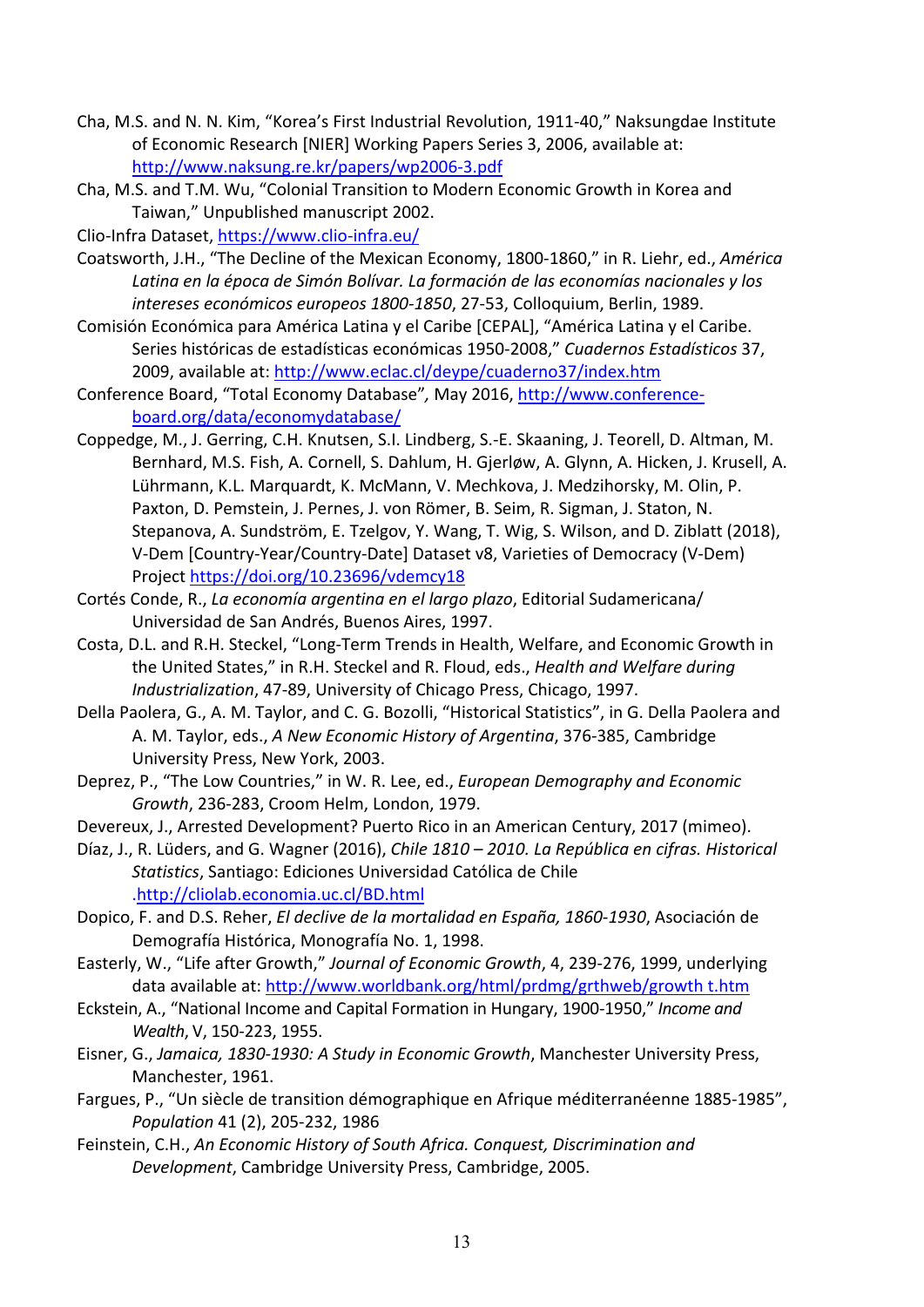- Cha, M.S. and N. N. Kim, "Korea's First Industrial Revolution, 1911-40," Naksungdae Institute of Economic Research [NIER] Working Papers Series 3, 2006, available at: <http://www.naksung.re.kr/papers/wp2006-3.pdf>
- Cha, M.S. and T.M. Wu, "Colonial Transition to Modern Economic Growth in Korea and Taiwan," Unpublished manuscript 2002.

Clio-Infra Dataset, <https://www.clio-infra.eu/>

- Coatsworth, J.H., "The Decline of the Mexican Economy, 1800-1860," in R. Liehr, ed., *América Latina en la época de Simón Bolívar. La formación de las economías nacionales y los intereses económicos europeos 1800-1850*, 27-53, Colloquium, Berlin, 1989.
- Comisión Económica para América Latina y el Caribe [CEPAL], "América Latina y el Caribe. Series históricas de estadísticas económicas 1950-2008," *Cuadernos Estadísticos* 37, 2009, available at: <http://www.eclac.cl/deype/cuaderno37/index.htm>
- Conference Board, "Total Economy Database"*,* May 2016, [http://www.conference](http://www.conference-board.org/data/economydatabase/)[board.org/data/economydatabase/](http://www.conference-board.org/data/economydatabase/)
- Coppedge, M., J. Gerring, C.H. Knutsen, S.I. Lindberg, S.-E. Skaaning, J. Teorell, D. Altman, M. Bernhard, M.S. Fish, A. Cornell, S. Dahlum, H. Gjerløw, A. Glynn, A. Hicken, J. Krusell, A. Lührmann, K.L. Marquardt, K. McMann, V. Mechkova, J. Medzihorsky, M. Olin, P. Paxton, D. Pemstein, J. Pernes, J. von Römer, B. Seim, R. Sigman, J. Staton, N. Stepanova, A. Sundström, E. Tzelgov, Y. Wang, T. Wig, S. Wilson, and D. Ziblatt (2018), V-Dem [Country-Year/Country-Date] Dataset v8, Varieties of Democracy (V-Dem) Project<https://doi.org/10.23696/vdemcy18>
- Cortés Conde, R., *La economía argentina en el largo plazo*, Editorial Sudamericana/ Universidad de San Andrés, Buenos Aires, 1997.
- Costa, D.L. and R.H. Steckel, "Long-Term Trends in Health, Welfare, and Economic Growth in the United States," in R.H. Steckel and R. Floud, eds., *Health and Welfare during Industrialization*, 47-89, University of Chicago Press, Chicago, 1997.
- Della Paolera, G., A. M. Taylor, and C. G. Bozolli, "Historical Statistics", in G. Della Paolera and A. M. Taylor, eds., *A New Economic History of Argentina*, 376-385, Cambridge University Press, New York, 2003.
- Deprez, P., "The Low Countries," in W. R. Lee, ed., *European Demography and Economic Growth*, 236-283, Croom Helm, London, 1979.
- Devereux, J., Arrested Development? Puerto Rico in an American Century, 2017 (mimeo).
- Díaz, J., R. Lüders, and G. Wagner (2016), *Chile 1810 – 2010. La República en cifras. Historical Statistics*, Santiago: Ediciones Universidad Católica de Chile [.http://cliolab.economia.uc.cl/BD.html](http://cliolab.economia.uc.cl/BD.html)
- Dopico, F. and D.S. Reher, *El declive de la mortalidad en España, 1860-1930*, Asociación de Demografía Histórica, Monografía No. 1, 1998.
- Easterly, W., "Life after Growth," *Journal of Economic Growth*, 4, 239-276, 1999, underlying data available at: [http://www.worldbank.org/html/prdmg/grthweb/growth t.htm](http://www.worldbank.org/html/prdmg/grthweb/growth%20t.htm)
- Eckstein, A., "National Income and Capital Formation in Hungary, 1900-1950," *Income and Wealth*, V, 150-223, 1955.
- Eisner, G., *Jamaica, 1830-1930: A Study in Economic Growth*, Manchester University Press, Manchester, 1961.
- Fargues, P., "Un siècle de transition démographique en Afrique méditerranéenne 1885-1985", *Population* 41 (2), 205-232, 1986
- Feinstein, C.H., *An Economic History of South Africa. Conquest, Discrimination and Development*, Cambridge University Press, Cambridge, 2005.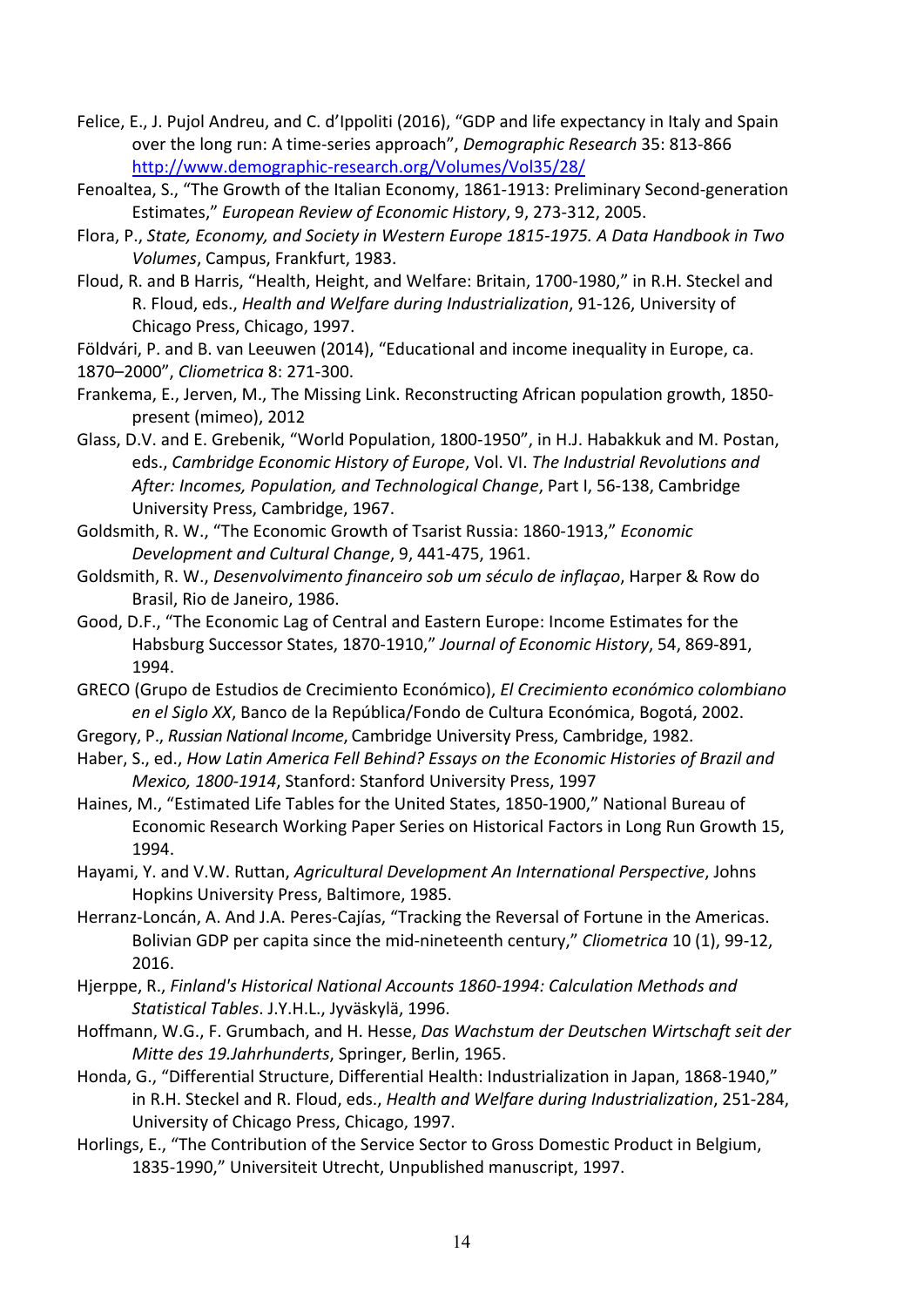- Felice, E., J. Pujol Andreu, and C. d'Ippoliti (2016), "GDP and life expectancy in Italy and Spain over the long run: A time-series approach", *Demographic Research* 35: 813-866 <http://www.demographic-research.org/Volumes/Vol35/28/>
- Fenoaltea, S., "The Growth of the Italian Economy, 1861-1913: Preliminary Second-generation Estimates," *European Review of Economic History*, 9, 273-312, 2005.
- Flora, P., *State, Economy, and Society in Western Europe 1815-1975. A Data Handbook in Two Volumes*, Campus, Frankfurt, 1983.
- Floud, R. and B Harris, "Health, Height, and Welfare: Britain, 1700-1980," in R.H. Steckel and R. Floud, eds., *Health and Welfare during Industrialization*, 91-126, University of Chicago Press, Chicago, 1997.

Földvári, P. and B. van Leeuwen (2014), "Educational and income inequality in Europe, ca. 1870–2000", *Cliometrica* 8: 271-300.

- Frankema, E., Jerven, M., The Missing Link. Reconstructing African population growth, 1850 present (mimeo), 2012
- Glass, D.V. and E. Grebenik, "World Population, 1800-1950", in H.J. Habakkuk and M. Postan, eds., *Cambridge Economic History of Europe*, Vol. VI. *The Industrial Revolutions and After: Incomes, Population, and Technological Change*, Part I, 56-138, Cambridge University Press, Cambridge, 1967.
- Goldsmith, R. W., "The Economic Growth of Tsarist Russia: 1860-1913," *Economic Development and Cultural Change*, 9, 441-475, 1961.
- Goldsmith, R. W., *Desenvolvimento financeiro sob um século de inflaçao*, Harper & Row do Brasil, Rio de Janeiro, 1986.
- Good, D.F., "The Economic Lag of Central and Eastern Europe: Income Estimates for the Habsburg Successor States, 1870-1910," *Journal of Economic History*, 54, 869-891, 1994.
- GRECO (Grupo de Estudios de Crecimiento Económico), *El Crecimiento económico colombiano en el Siglo XX*, Banco de la República/Fondo de Cultura Económica, Bogotá, 2002.
- Gregory, P., *Russian National Income*, Cambridge University Press, Cambridge, 1982.
- Haber, S., ed., *How Latin America Fell Behind? Essays on the Economic Histories of Brazil and Mexico, 1800-1914*, Stanford: Stanford University Press, 1997
- Haines, M., "Estimated Life Tables for the United States, 1850-1900," National Bureau of Economic Research Working Paper Series on Historical Factors in Long Run Growth 15, 1994.
- Hayami, Y. and V.W. Ruttan, *Agricultural Development An International Perspective*, Johns Hopkins University Press, Baltimore, 1985.
- Herranz-Loncán, A. And J.A. Peres-Cajías, "Tracking the Reversal of Fortune in the Americas. Bolivian GDP per capita since the mid-nineteenth century," *Cliometrica* 10 (1), 99-12, 2016.
- Hjerppe, R., *Finland's Historical National Accounts 1860-1994: Calculation Methods and Statistical Tables*. J.Y.H.L., Jyväskylä, 1996.
- Hoffmann, W.G., F. Grumbach, and H. Hesse, *Das Wachstum der Deutschen Wirtschaft seit der Mitte des 19.Jahrhunderts*, Springer, Berlin, 1965.
- Honda, G., "Differential Structure, Differential Health: Industrialization in Japan, 1868-1940," in R.H. Steckel and R. Floud, eds., *Health and Welfare during Industrialization*, 251-284, University of Chicago Press, Chicago, 1997.
- Horlings, E., "The Contribution of the Service Sector to Gross Domestic Product in Belgium, 1835-1990," Universiteit Utrecht, Unpublished manuscript, 1997.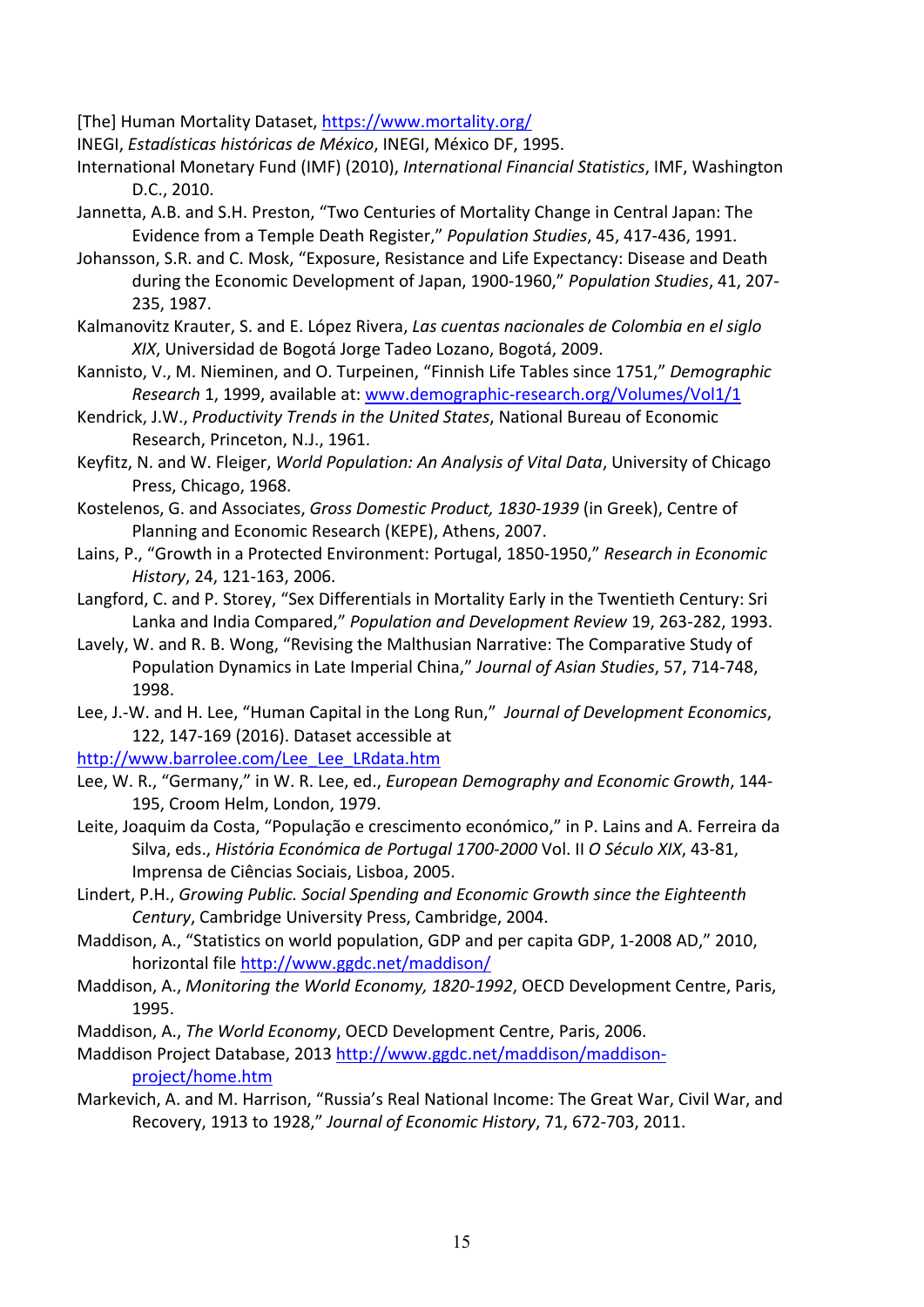[The] Human Mortality Dataset, <https://www.mortality.org/>

INEGI, *Estadísticas históricas de México*, INEGI, México DF, 1995.

- International Monetary Fund (IMF) (2010), *International Financial Statistics*, IMF, Washington D.C., 2010.
- Jannetta, A.B. and S.H. Preston, "Two Centuries of Mortality Change in Central Japan: The Evidence from a Temple Death Register," *Population Studies*, 45, 417-436, 1991.
- Johansson, S.R. and C. Mosk, "Exposure, Resistance and Life Expectancy: Disease and Death during the Economic Development of Japan, 1900-1960," *Population Studies*, 41, 207- 235, 1987.
- Kalmanovitz Krauter, S. and E. López Rivera, *Las cuentas nacionales de Colombia en el siglo XIX*, Universidad de Bogotá Jorge Tadeo Lozano, Bogotá, 2009.
- Kannisto, V., M. Nieminen, and O. Turpeinen, "Finnish Life Tables since 1751," *Demographic Research* 1, 1999, available at: [www.demographic-research.org/Volumes/Vol1/1](http://www.demographic-research.org/Volumes/Vol1/1)
- Kendrick, J.W., *Productivity Trends in the United States*, National Bureau of Economic Research, Princeton, N.J., 1961.

Keyfitz, N. and W. Fleiger, *World Population: An Analysis of Vital Data*, University of Chicago Press, Chicago, 1968.

- Kostelenos, G. and Associates, *Gross Domestic Product, 1830-1939* (in Greek), Centre of Planning and Economic Research (KEPE), Athens, 2007.
- Lains, P., "Growth in a Protected Environment: Portugal, 1850-1950," *Research in Economic History*, 24, 121-163, 2006.
- Langford, C. and P. Storey, "Sex Differentials in Mortality Early in the Twentieth Century: Sri Lanka and India Compared," *Population and Development Review* 19, 263-282, 1993.
- Lavely, W. and R. B. Wong, "Revising the Malthusian Narrative: The Comparative Study of Population Dynamics in Late Imperial China," *Journal of Asian Studies*, 57, 714-748, 1998.
- Lee, J.-W. and H. Lee, "Human Capital in the Long Run," *Journal of Development Economics*, 122, 147-169 (2016). Dataset accessible at

[http://www.barrolee.com/Lee\\_Lee\\_LRdata.htm](http://www.barrolee.com/Lee_Lee_LRdata.htm)

- Lee, W. R., "Germany," in W. R. Lee, ed., *European Demography and Economic Growth*, 144- 195, Croom Helm, London, 1979.
- Leite, Joaquim da Costa, "População e crescimento económico," in P. Lains and A. Ferreira da Silva, eds., *História Económica de Portugal 1700-2000* Vol. II *O Século XIX*, 43-81, Imprensa de Ciências Sociais, Lisboa, 2005.
- Lindert, P.H., *Growing Public. Social Spending and Economic Growth since the Eighteenth Century*, Cambridge University Press, Cambridge, 2004.
- Maddison, A., "Statistics on world population, GDP and per capita GDP, 1-2008 AD," 2010, horizontal file<http://www.ggdc.net/maddison/>
- Maddison, A., *Monitoring the World Economy, 1820-1992*, OECD Development Centre, Paris, 1995.
- Maddison, A., *The World Economy*, OECD Development Centre, Paris, 2006.

Maddison Project Database, 2013 [http://www.ggdc.net/maddison/maddison](http://www.ggdc.net/maddison/maddison-project/home.htm)[project/home.htm](http://www.ggdc.net/maddison/maddison-project/home.htm)

Markevich, A. and M. Harrison, "Russia's Real National Income: The Great War, Civil War, and Recovery, 1913 to 1928," *Journal of Economic History*, 71, 672-703, 2011.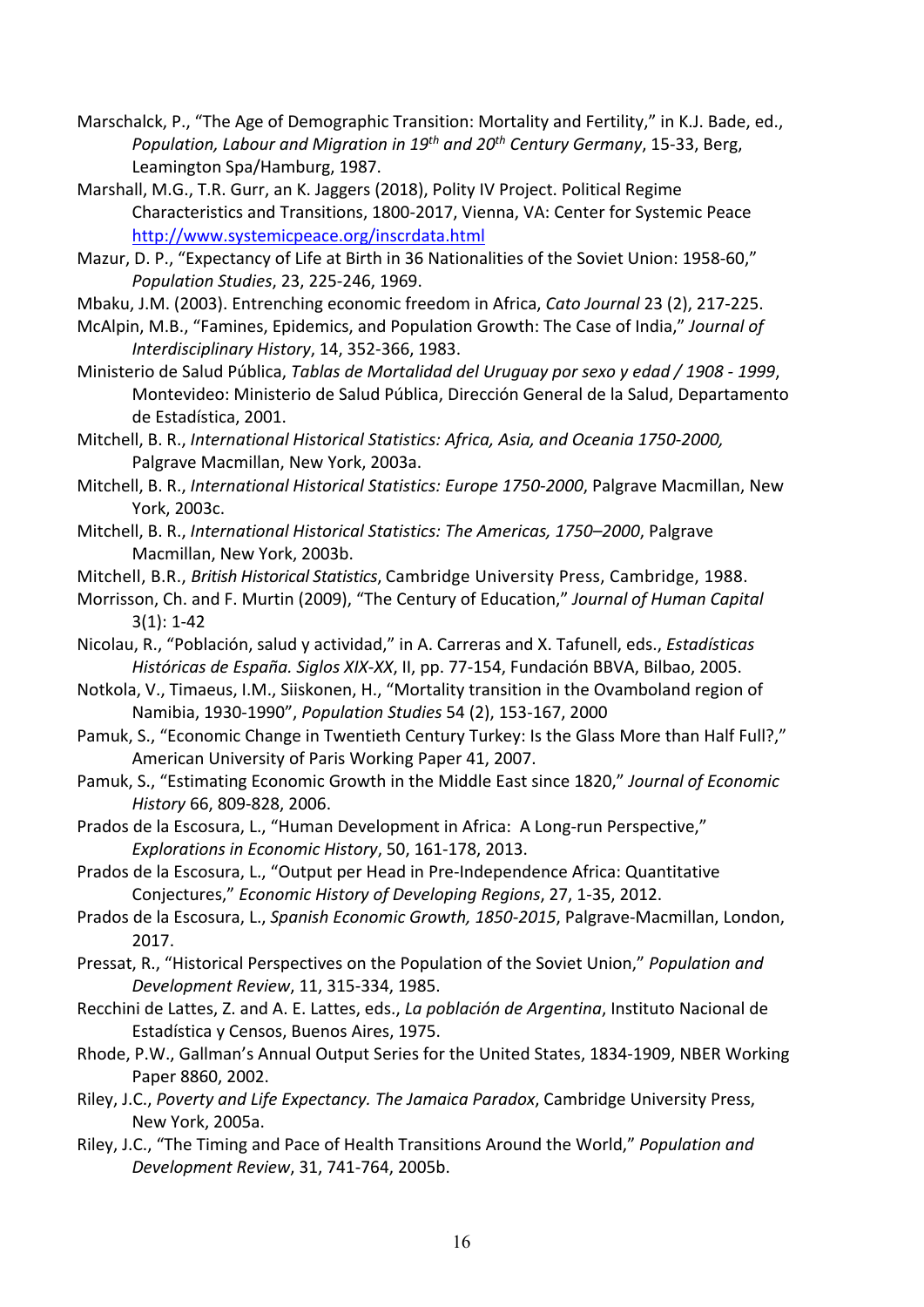- Marschalck, P., "The Age of Demographic Transition: Mortality and Fertility," in K.J. Bade, ed., *Population, Labour and Migration in 19th and 20th Century Germany*, 15-33, Berg, Leamington Spa/Hamburg, 1987.
- Marshall, M.G., T.R. Gurr, an K. Jaggers (2018), Polity IV Project. Political Regime Characteristics and Transitions, 1800-2017, Vienna, VA: Center for Systemic Peace <http://www.systemicpeace.org/inscrdata.html>
- Mazur, D. P., "Expectancy of Life at Birth in 36 Nationalities of the Soviet Union: 1958-60," *Population Studies*, 23, 225-246, 1969.

Mbaku, J.M. (2003). Entrenching economic freedom in Africa, *Cato Journal* 23 (2), 217-225.

- McAlpin, M.B., "Famines, Epidemics, and Population Growth: The Case of India," *Journal of Interdisciplinary History*, 14, 352-366, 1983.
- Ministerio de Salud Pública, *Tablas de Mortalidad del Uruguay por sexo y edad / 1908 - 1999*, Montevideo: Ministerio de Salud Pública, Dirección General de la Salud, Departamento de Estadística, 2001.
- Mitchell, B. R., *International Historical Statistics: Africa, Asia, and Oceania 1750-2000,*  Palgrave Macmillan, New York, 2003a.
- Mitchell, B. R., *International Historical Statistics: Europe 1750-2000*, Palgrave Macmillan, New York, 2003c.
- Mitchell, B. R., *International Historical Statistics: The Americas, 1750–2000*, Palgrave Macmillan, New York, 2003b.
- Mitchell, B.R., *British Historical Statistics*, Cambridge University Press, Cambridge, 1988.
- Morrisson, Ch. and F. Murtin (2009), "The Century of Education," *Journal of Human Capital* 3(1): 1-42
- Nicolau, R., "Población, salud y actividad," in A. Carreras and X. Tafunell, eds., *Estadísticas Históricas de España. Siglos XIX-XX*, II, pp. 77-154, Fundación BBVA, Bilbao, 2005.
- Notkola, V., Timaeus, I.M., Siiskonen, H., "Mortality transition in the Ovamboland region of Namibia, 1930-1990", *Population Studies* 54 (2), 153-167, 2000
- Pamuk, S., "Economic Change in Twentieth Century Turkey: Is the Glass More than Half Full?," American University of Paris Working Paper 41, 2007.
- Pamuk, S., "Estimating Economic Growth in the Middle East since 1820," *Journal of Economic History* 66, 809-828, 2006.
- Prados de la Escosura, L., "Human Development in Africa: A Long-run Perspective," *Explorations in Economic History*, 50, 161-178, 2013.
- Prados de la Escosura, L., "Output per Head in Pre-Independence Africa: Quantitative Conjectures," *Economic History of Developing Regions*, 27, 1-35, 2012.
- Prados de la Escosura, L., *Spanish Economic Growth, 1850-2015*, Palgrave-Macmillan, London, 2017.
- Pressat, R., "Historical Perspectives on the Population of the Soviet Union," *Population and Development Review*, 11, 315-334, 1985.
- Recchini de Lattes, Z. and A. E. Lattes, eds., *La población de Argentina*, Instituto Nacional de Estadística y Censos, Buenos Aires, 1975.
- Rhode, P.W., Gallman's Annual Output Series for the United States, 1834-1909, NBER Working Paper 8860, 2002.
- Riley, J.C., *Poverty and Life Expectancy. The Jamaica Paradox*, Cambridge University Press, New York, 2005a.
- Riley, J.C., "The Timing and Pace of Health Transitions Around the World," *Population and Development Review*, 31, 741-764, 2005b.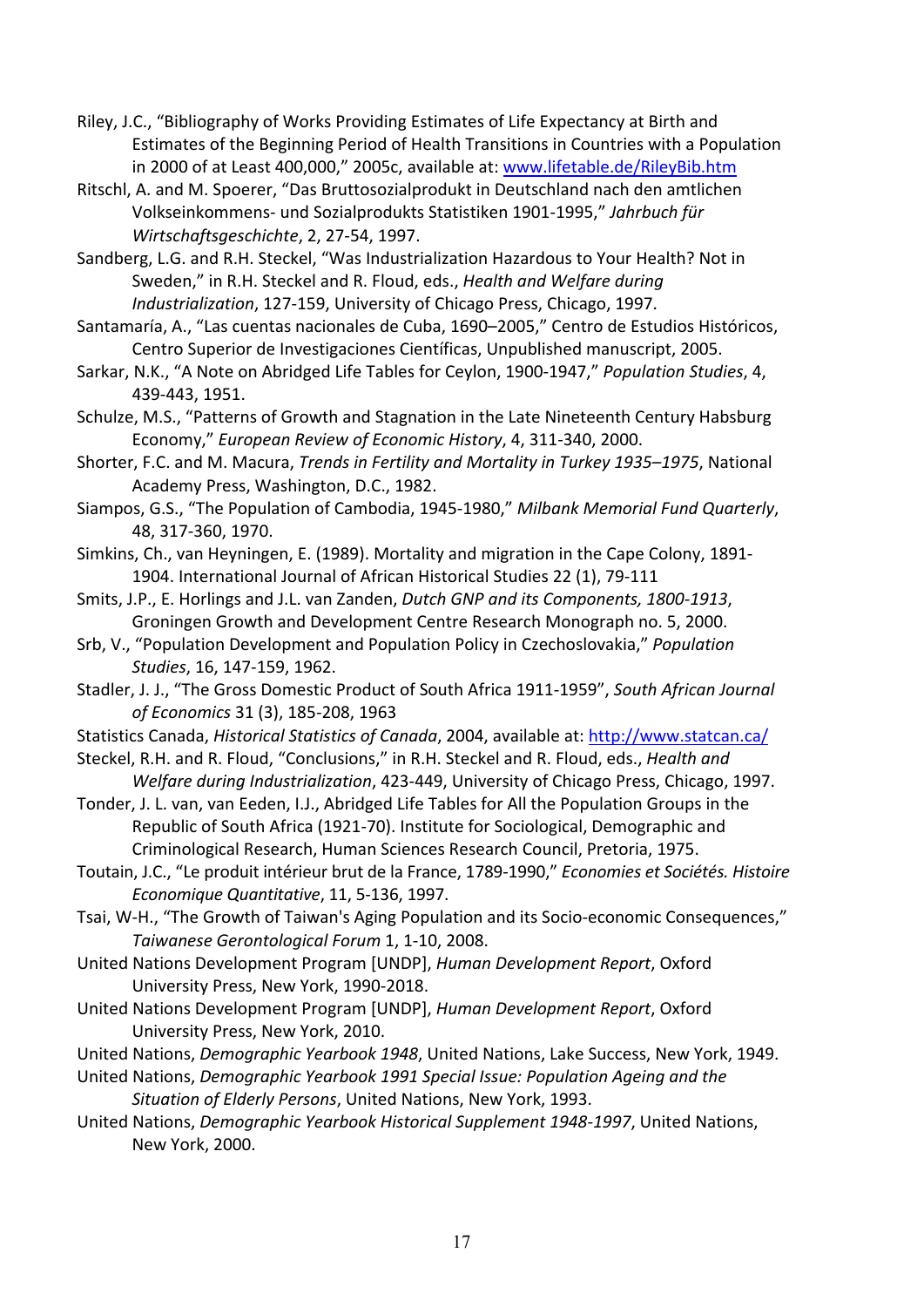- Riley, J.C., "Bibliography of Works Providing Estimates of Life Expectancy at Birth and Estimates of the Beginning Period of Health Transitions in Countries with a Population in 2000 of at Least 400,000," 2005c, available at: [www.lifetable.de/RileyBib.htm](http://www.lifetable.de/RileyBib.htm)
- Ritschl, A. and M. Spoerer, "Das Bruttosozialprodukt in Deutschland nach den amtlichen Volkseinkommens- und Sozialprodukts Statistiken 1901-1995," *Jahrbuch für Wirtschaftsgeschichte*, 2, 27-54, 1997.
- Sandberg, L.G. and R.H. Steckel, "Was Industrialization Hazardous to Your Health? Not in Sweden," in R.H. Steckel and R. Floud, eds., *Health and Welfare during Industrialization*, 127-159, University of Chicago Press, Chicago, 1997.
- Santamaría, A., "Las cuentas nacionales de Cuba, 1690–2005," Centro de Estudios Históricos, Centro Superior de Investigaciones Científicas, Unpublished manuscript, 2005.
- Sarkar, N.K., "A Note on Abridged Life Tables for Ceylon, 1900-1947," *Population Studies*, 4, 439-443, 1951.
- Schulze, M.S., "Patterns of Growth and Stagnation in the Late Nineteenth Century Habsburg Economy," *European Review of Economic History*, 4, 311-340, 2000.
- Shorter, F.C. and M. Macura, *Trends in Fertility and Mortality in Turkey 1935–1975*, National Academy Press, Washington, D.C., 1982.
- Siampos, G.S., "The Population of Cambodia, 1945-1980," *Milbank Memorial Fund Quarterly*, 48, 317-360, 1970.
- Simkins, Ch., van Heyningen, E. (1989). Mortality and migration in the Cape Colony, 1891- 1904. International Journal of African Historical Studies 22 (1), 79-111
- Smits, J.P., E. Horlings and J.L. van Zanden, *Dutch GNP and its Components, 1800-1913*, Groningen Growth and Development Centre Research Monograph no. 5, 2000.
- Srb, V., "Population Development and Population Policy in Czechoslovakia," *Population Studies*, 16, 147-159, 1962.
- Stadler, J. J., "The Gross Domestic Product of South Africa 1911-1959", *South African Journal of Economics* 31 (3), 185-208, 1963
- Statistics Canada, *Historical Statistics of Canada*, 2004, available at: <http://www.statcan.ca/>
- Steckel, R.H. and R. Floud, "Conclusions," in R.H. Steckel and R. Floud, eds., *Health and Welfare during Industrialization*, 423-449, University of Chicago Press, Chicago, 1997.
- Tonder, J. L. van, van Eeden, I.J., Abridged Life Tables for All the Population Groups in the Republic of South Africa (1921-70). Institute for Sociological, Demographic and Criminological Research, Human Sciences Research Council, Pretoria, 1975.
- Toutain, J.C., "Le produit intérieur brut de la France, 1789-1990," *Economies et Sociétés. Histoire Economique Quantitative*, 11, 5-136, 1997.
- Tsai, W-H., "The Growth of Taiwan's Aging Population and its Socio-economic Consequences," *Taiwanese Gerontological Forum* 1, 1-10, 2008.
- United Nations Development Program [UNDP], *Human Development Report*, Oxford University Press, New York, 1990-2018.
- United Nations Development Program [UNDP], *Human Development Report*, Oxford University Press, New York, 2010.
- United Nations, *Demographic Yearbook 1948*, United Nations, Lake Success, New York, 1949.
- United Nations, *Demographic Yearbook 1991 Special Issue: Population Ageing and the Situation of Elderly Persons*, United Nations, New York, 1993.
- United Nations, *Demographic Yearbook Historical Supplement 1948-1997*, United Nations, New York, 2000.